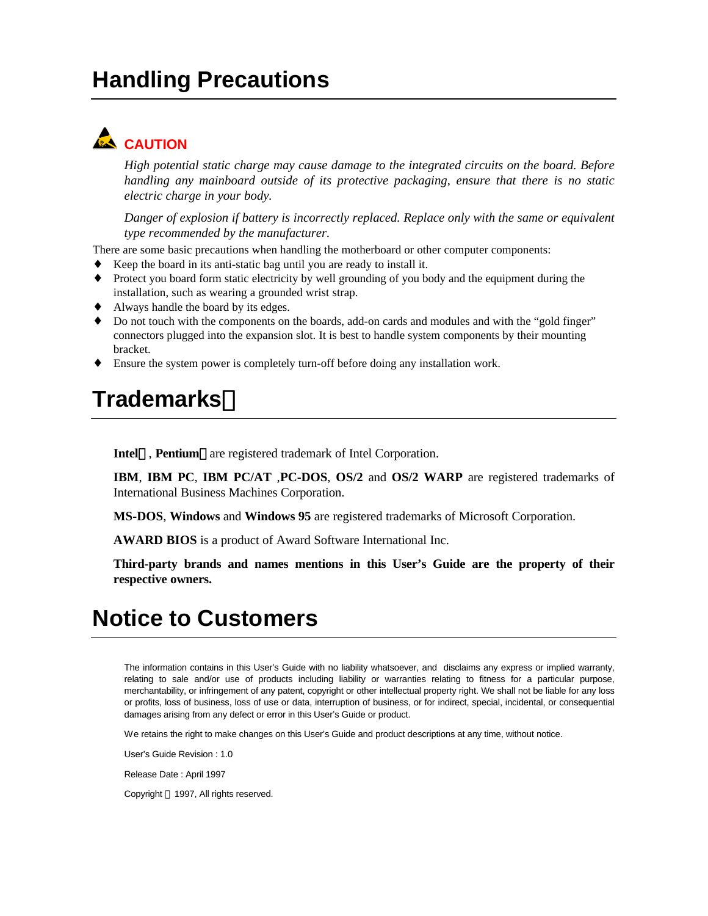# **Handling Precautions**

# **CAUTION**

*High potential static charge may cause damage to the integrated circuits on the board. Before handling any mainboard outside of its protective packaging, ensure that there is no static electric charge in your body.*

*Danger of explosion if battery is incorrectly replaced. Replace only with the same or equivalent type recommended by the manufacturer.*

There are some basic precautions when handling the motherboard or other computer components:

- ♦ Keep the board in its anti-static bag until you are ready to install it.
- Protect you board form static electricity by well grounding of you body and the equipment during the installation, such as wearing a grounded wrist strap.
- Always handle the board by its edges.
- Do not touch with the components on the boards, add-on cards and modules and with the "gold finger" connectors plugged into the expansion slot. It is best to handle system components by their mounting bracket.
- Ensure the system power is completely turn-off before doing any installation work.

# **Trademarks**

**Intel<sup>®</sup>**, **Pentium**<sup>®</sup> are registered trademark of Intel Corporation.

**IBM**, **IBM PC**, **IBM PC/AT** ,**PC-DOS**, **OS/2** and **OS/2 WARP** are registered trademarks of International Business Machines Corporation.

**MS-DOS**, **Windows** and **Windows 95** are registered trademarks of Microsoft Corporation.

**AWARD BIOS** is a product of Award Software International Inc.

**Third-party brands and names mentions in this User's Guide are the property of their respective owners.**

# **Notice to Customers**

The information contains in this User's Guide with no liability whatsoever, and disclaims any express or implied warranty, relating to sale and/or use of products including liability or warranties relating to fitness for a particular purpose, merchantability, or infringement of any patent, copyright or other intellectual property right. We shall not be liable for any loss or profits, loss of business, loss of use or data, interruption of business, or for indirect, special, incidental, or consequential damages arising from any defect or error in this User's Guide or product.

We retains the right to make changes on this User's Guide and product descriptions at any time, without notice.

User's Guide Revision : 1.0

Release Date : April 1997

Copyright © 1997, All rights reserved.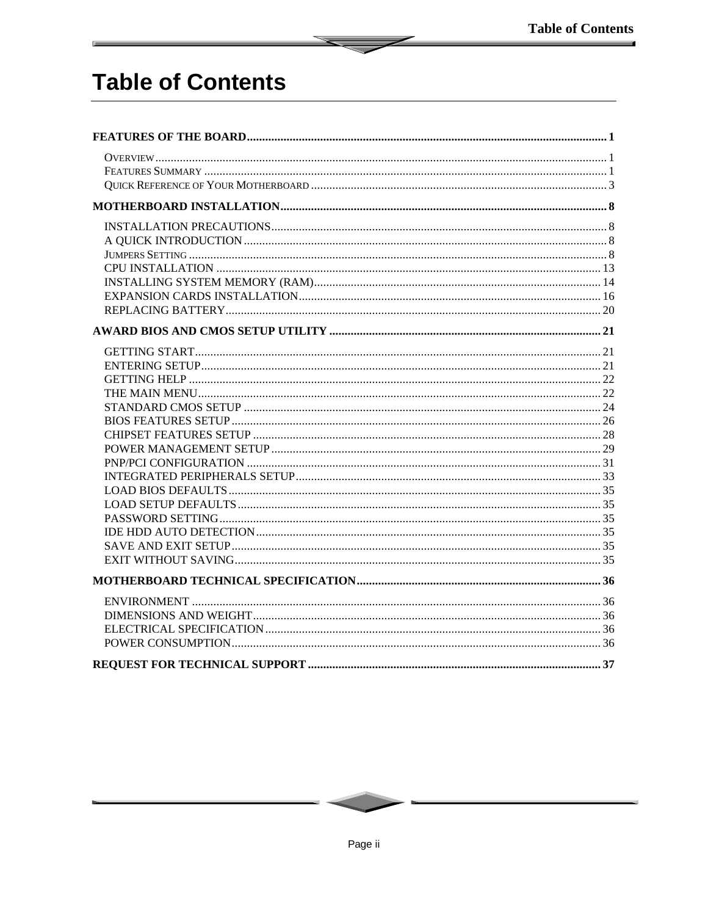# **Table of Contents**

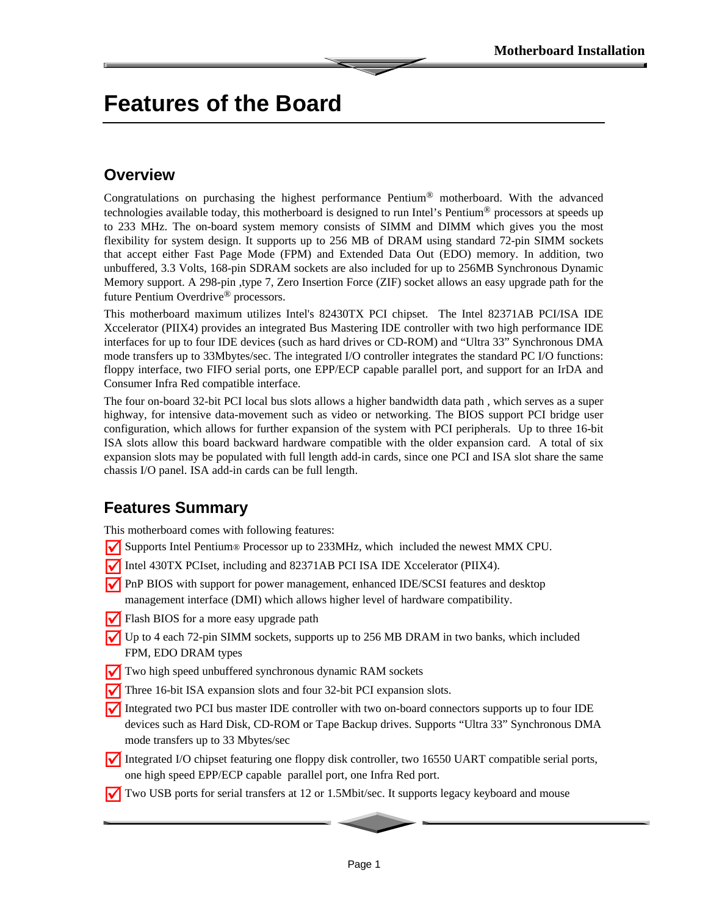# **Features of the Board**

# **Overview**

Congratulations on purchasing the highest performance Pentium® motherboard. With the advanced technologies available today, this motherboard is designed to run Intel's Pentium<sup>®</sup> processors at speeds up to 233 MHz. The on-board system memory consists of SIMM and DIMM which gives you the most flexibility for system design. It supports up to 256 MB of DRAM using standard 72-pin SIMM sockets that accept either Fast Page Mode (FPM) and Extended Data Out (EDO) memory. In addition, two unbuffered, 3.3 Volts, 168-pin SDRAM sockets are also included for up to 256MB Synchronous Dynamic Memory support. A 298-pin ,type 7, Zero Insertion Force (ZIF) socket allows an easy upgrade path for the future Pentium Overdrive® processors.

This motherboard maximum utilizes Intel's 82430TX PCI chipset. The Intel 82371AB PCI/ISA IDE Xccelerator (PIIX4) provides an integrated Bus Mastering IDE controller with two high performance IDE interfaces for up to four IDE devices (such as hard drives or CD-ROM) and "Ultra 33" Synchronous DMA mode transfers up to 33Mbytes/sec. The integrated I/O controller integrates the standard PC I/O functions: floppy interface, two FIFO serial ports, one EPP/ECP capable parallel port, and support for an IrDA and Consumer Infra Red compatible interface.

The four on-board 32-bit PCI local bus slots allows a higher bandwidth data path , which serves as a super highway, for intensive data-movement such as video or networking. The BIOS support PCI bridge user configuration, which allows for further expansion of the system with PCI peripherals. Up to three 16-bit ISA slots allow this board backward hardware compatible with the older expansion card. A total of six expansion slots may be populated with full length add-in cards, since one PCI and ISA slot share the same chassis I/O panel. ISA add-in cards can be full length.

# **Features Summary**

This motherboard comes with following features:

- ˛Supports Intel Pentium® Processor up to 233MHz, which included the newest MMX CPU.
- Intel 430TX PCIset, including and 82371AB PCI ISA IDE Xccelerator (PIIX4).
- ▼ PnP BIOS with support for power management, enhanced IDE/SCSI features and desktop management interface (DMI) which allows higher level of hardware compatibility.
- $\nabla$  Flash BIOS for a more easy upgrade path
- $\sqrt{\phantom{a}}$  Up to 4 each 72-pin SIMM sockets, supports up to 256 MB DRAM in two banks, which included FPM, EDO DRAM types
- **V** Two high speed unbuffered synchronous dynamic RAM sockets
- ˛Three 16-bit ISA expansion slots and four 32-bit PCI expansion slots.
- Integrated two PCI bus master IDE controller with two on-board connectors supports up to four IDE devices such as Hard Disk, CD-ROM or Tape Backup drives. Supports "Ultra 33" Synchronous DMA mode transfers up to 33 Mbytes/sec
- $\overline{V}$  Integrated I/O chipset featuring one floppy disk controller, two 16550 UART compatible serial ports, one high speed EPP/ECP capable parallel port, one Infra Red port.
- ▼ Two USB ports for serial transfers at 12 or 1.5Mbit/sec. It supports legacy keyboard and mouse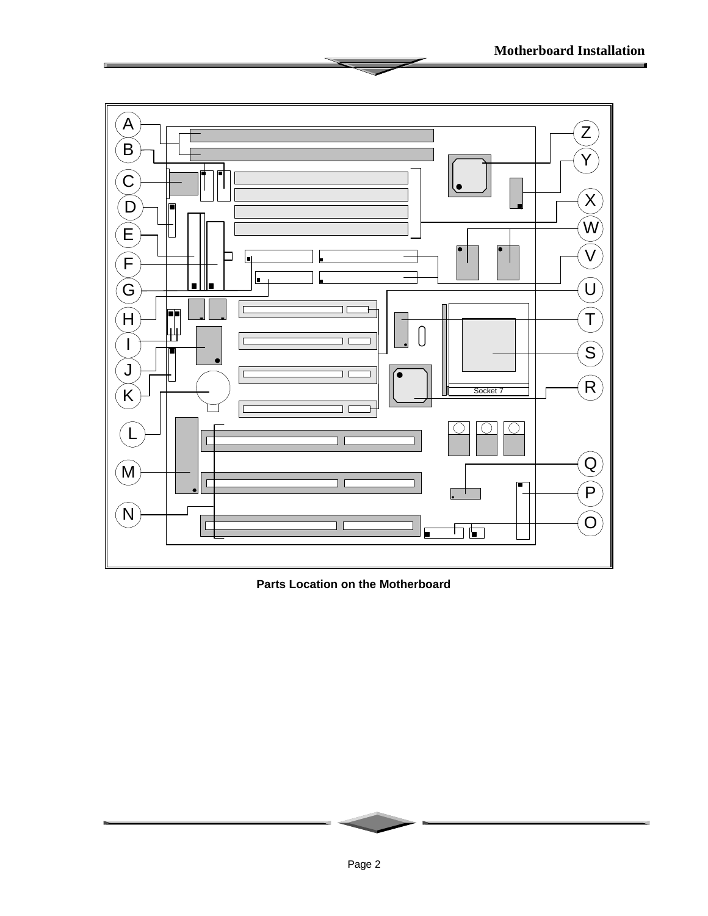-



**Parts Location on the Motherboard**

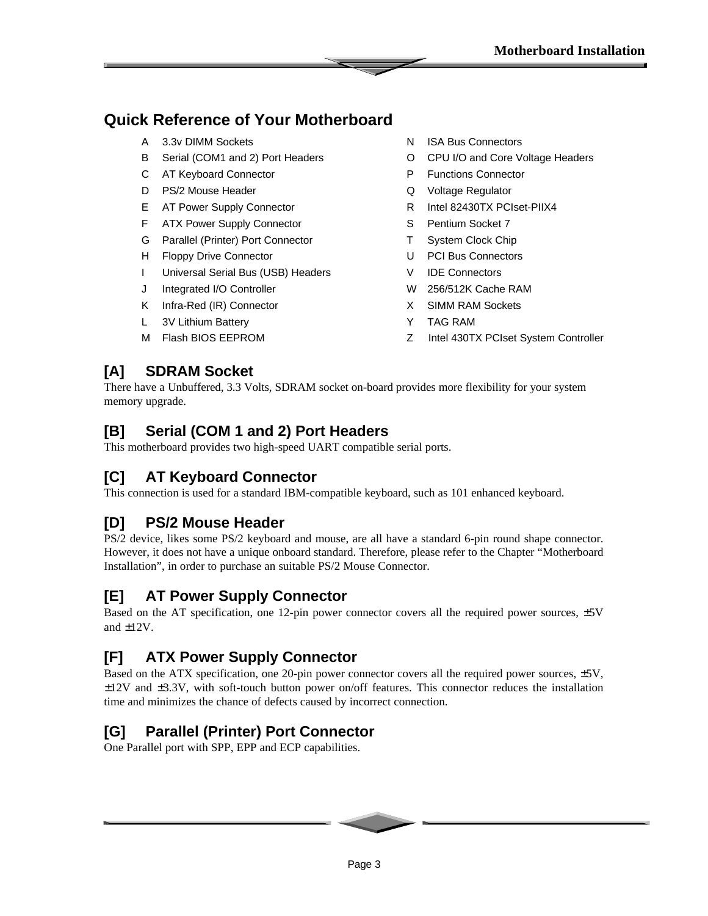# **Quick Reference of Your Motherboard**

- 
- 
- C AT Keyboard Connector **P** Functions Connector
- D PS/2 Mouse Header **D** Q Voltage Regulator
- E AT Power Supply Connector **R** Intel 82430TX PCIset-PIIX4
- F ATX Power Supply Connector S Pentium Socket 7
- G Parallel (Printer) Port Connector T System Clock Chip
- H Floppy Drive Connector U PCI Bus Connectors
- I Universal Serial Bus (USB) Headers V IDE Connectors
- J Integrated I/O Controller W 256/512K Cache RAM
- K Infra-Red (IR) Connector X SIMM RAM Sockets
- L 3V Lithium Battery **X** TAG RAM
- 
- A 3.3v DIMM Sockets N N ISA Bus Connectors
- B Serial (COM1 and 2) Port Headers **O CPU I/O and Core Voltage Headers** 
	-
	-
	-
	-
	-
	-
	-
	-
	-
	-
- M Flash BIOS EEPROM 2 Intel 430TX PCIset System Controller

### **[A] SDRAM Socket**

There have a Unbuffered, 3.3 Volts, SDRAM socket on-board provides more flexibility for your system memory upgrade.

# **[B] Serial (COM 1 and 2) Port Headers**

This motherboard provides two high-speed UART compatible serial ports.

#### **[C] AT Keyboard Connector**

This connection is used for a standard IBM-compatible keyboard, such as 101 enhanced keyboard.

# **[D] PS/2 Mouse Header**

PS/2 device, likes some PS/2 keyboard and mouse, are all have a standard 6-pin round shape connector. However, it does not have a unique onboard standard. Therefore, please refer to the Chapter "Motherboard Installation", in order to purchase an suitable PS/2 Mouse Connector.

# **[E] AT Power Supply Connector**

Based on the AT specification, one 12-pin power connector covers all the required power sources, ±5V and  $+12V$ .

# **[F] ATX Power Supply Connector**

Based on the ATX specification, one 20-pin power connector covers all the required power sources, ±5V, ±12V and ±3.3V, with soft-touch button power on/off features. This connector reduces the installation time and minimizes the chance of defects caused by incorrect connection.

# **[G] Parallel (Printer) Port Connector**

One Parallel port with SPP, EPP and ECP capabilities.

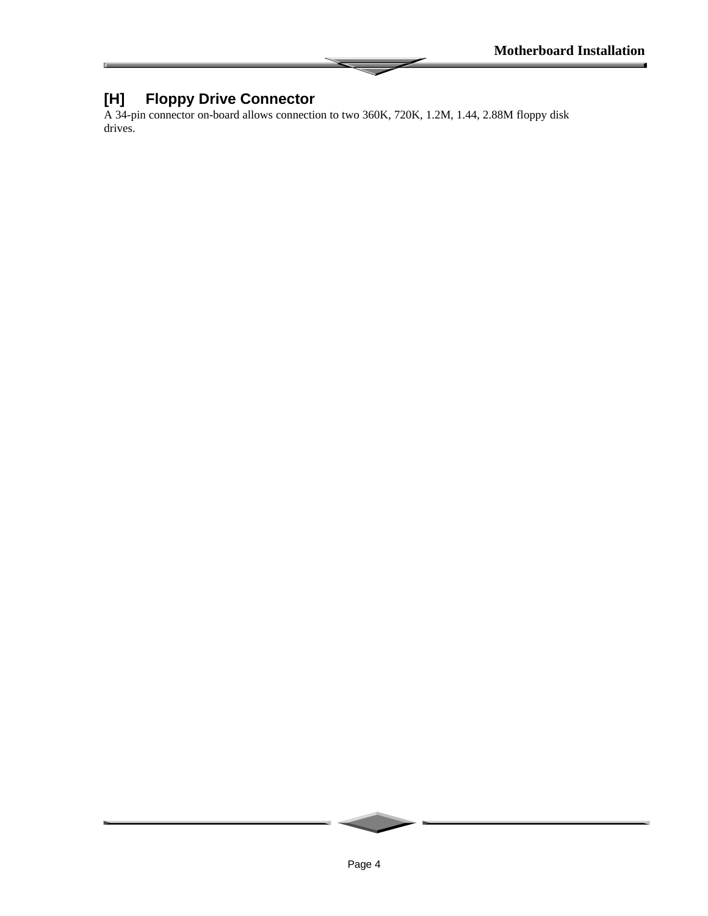$\overline{\phantom{0}}$ 

# **[H] Floppy Drive Connector**

而

A 34-pin connector on-board allows connection to two 360K, 720K, 1.2M, 1.44, 2.88M floppy disk drives.

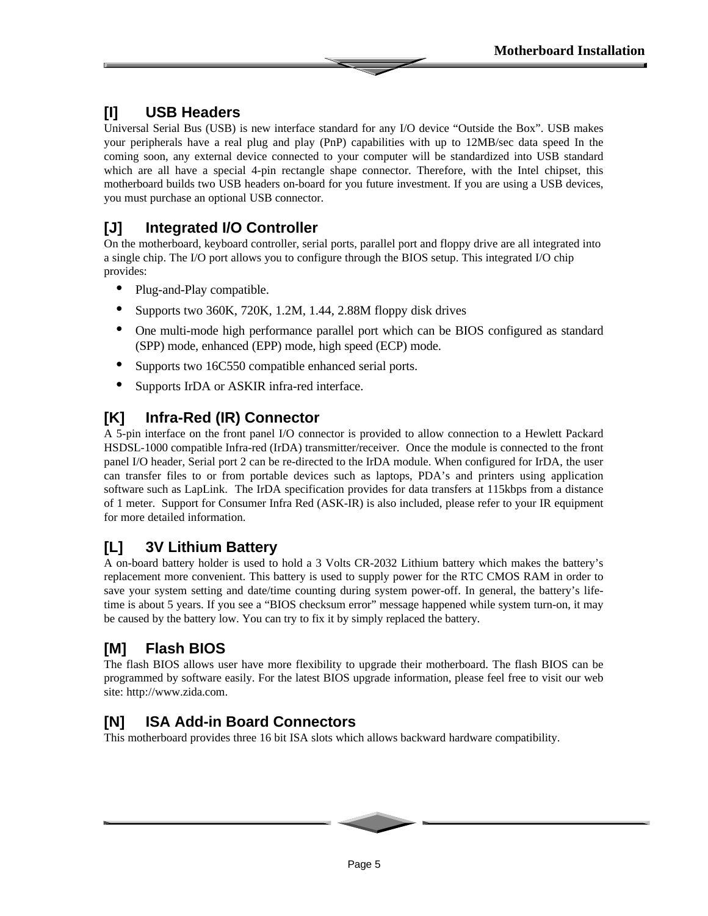# **[I] USB Headers**

Universal Serial Bus (USB) is new interface standard for any I/O device "Outside the Box". USB makes your peripherals have a real plug and play (PnP) capabilities with up to 12MB/sec data speed In the coming soon, any external device connected to your computer will be standardized into USB standard which are all have a special 4-pin rectangle shape connector. Therefore, with the Intel chipset, this motherboard builds two USB headers on-board for you future investment. If you are using a USB devices, you must purchase an optional USB connector.

# **[J] Integrated I/O Controller**

On the motherboard, keyboard controller, serial ports, parallel port and floppy drive are all integrated into a single chip. The I/O port allows you to configure through the BIOS setup. This integrated I/O chip provides:

- Plug-and-Play compatible.
- Supports two 360K, 720K, 1.2M, 1.44, 2.88M floppy disk drives
- One multi-mode high performance parallel port which can be BIOS configured as standard (SPP) mode, enhanced (EPP) mode, high speed (ECP) mode.
- Supports two 16C550 compatible enhanced serial ports.
- Supports IrDA or ASKIR infra-red interface.

# **[K] Infra-Red (IR) Connector**

A 5-pin interface on the front panel I/O connector is provided to allow connection to a Hewlett Packard HSDSL-1000 compatible Infra-red (IrDA) transmitter/receiver. Once the module is connected to the front panel I/O header, Serial port 2 can be re-directed to the IrDA module. When configured for IrDA, the user can transfer files to or from portable devices such as laptops, PDA's and printers using application software such as LapLink. The IrDA specification provides for data transfers at 115kbps from a distance of 1 meter. Support for Consumer Infra Red (ASK-IR) is also included, please refer to your IR equipment for more detailed information.

# **[L] 3V Lithium Battery**

A on-board battery holder is used to hold a 3 Volts CR-2032 Lithium battery which makes the battery's replacement more convenient. This battery is used to supply power for the RTC CMOS RAM in order to save your system setting and date/time counting during system power-off. In general, the battery's lifetime is about 5 years. If you see a "BIOS checksum error" message happened while system turn-on, it may be caused by the battery low. You can try to fix it by simply replaced the battery.

# **[M] Flash BIOS**

The flash BIOS allows user have more flexibility to upgrade their motherboard. The flash BIOS can be programmed by software easily. For the latest BIOS upgrade information, please feel free to visit our web site: http://www.zida.com.

# **[N] ISA Add-in Board Connectors**

This motherboard provides three 16 bit ISA slots which allows backward hardware compatibility.

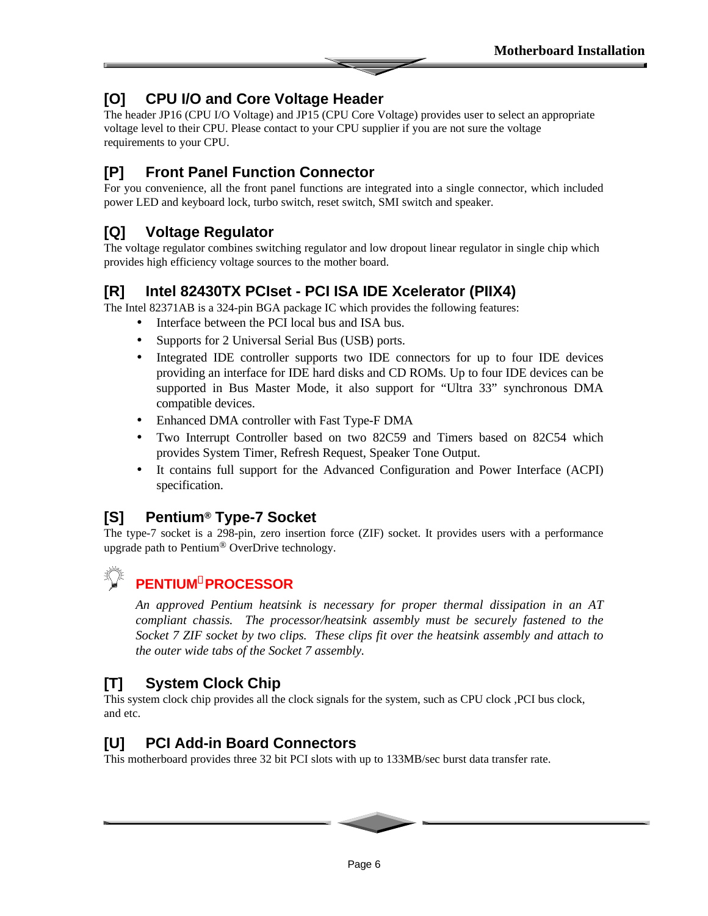# **[O] CPU I/O and Core Voltage Header**

The header JP16 (CPU I/O Voltage) and JP15 (CPU Core Voltage) provides user to select an appropriate voltage level to their CPU. Please contact to your CPU supplier if you are not sure the voltage requirements to your CPU.

# **[P] Front Panel Function Connector**

For you convenience, all the front panel functions are integrated into a single connector, which included power LED and keyboard lock, turbo switch, reset switch, SMI switch and speaker.

### **[Q] Voltage Regulator**

The voltage regulator combines switching regulator and low dropout linear regulator in single chip which provides high efficiency voltage sources to the mother board.

### **[R] Intel 82430TX PCIset - PCI ISA IDE Xcelerator (PIIX4)**

The Intel 82371AB is a 324-pin BGA package IC which provides the following features:

- Interface between the PCI local bus and ISA bus.
- Supports for 2 Universal Serial Bus (USB) ports.
- Integrated IDE controller supports two IDE connectors for up to four IDE devices providing an interface for IDE hard disks and CD ROMs. Up to four IDE devices can be supported in Bus Master Mode, it also support for "Ultra 33" synchronous DMA compatible devices.
- Enhanced DMA controller with Fast Type-F DMA
- Two Interrupt Controller based on two 82C59 and Timers based on 82C54 which provides System Timer, Refresh Request, Speaker Tone Output.
- It contains full support for the Advanced Configuration and Power Interface (ACPI) specification.

#### **[S] Pentium® Type-7 Socket**

The type-7 socket is a 298-pin, zero insertion force (ZIF) socket. It provides users with a performance upgrade path to Pentium<sup>®</sup> OverDrive technology.



# **PENTIUMPROCESSOR**

*An approved Pentium heatsink is necessary for proper thermal dissipation in an AT compliant chassis. The processor/heatsink assembly must be securely fastened to the Socket 7 ZIF socket by two clips. These clips fit over the heatsink assembly and attach to the outer wide tabs of the Socket 7 assembly.*

# **[T] System Clock Chip**

This system clock chip provides all the clock signals for the system, such as CPU clock ,PCI bus clock, and etc.

# **[U] PCI Add-in Board Connectors**

This motherboard provides three 32 bit PCI slots with up to 133MB/sec burst data transfer rate.

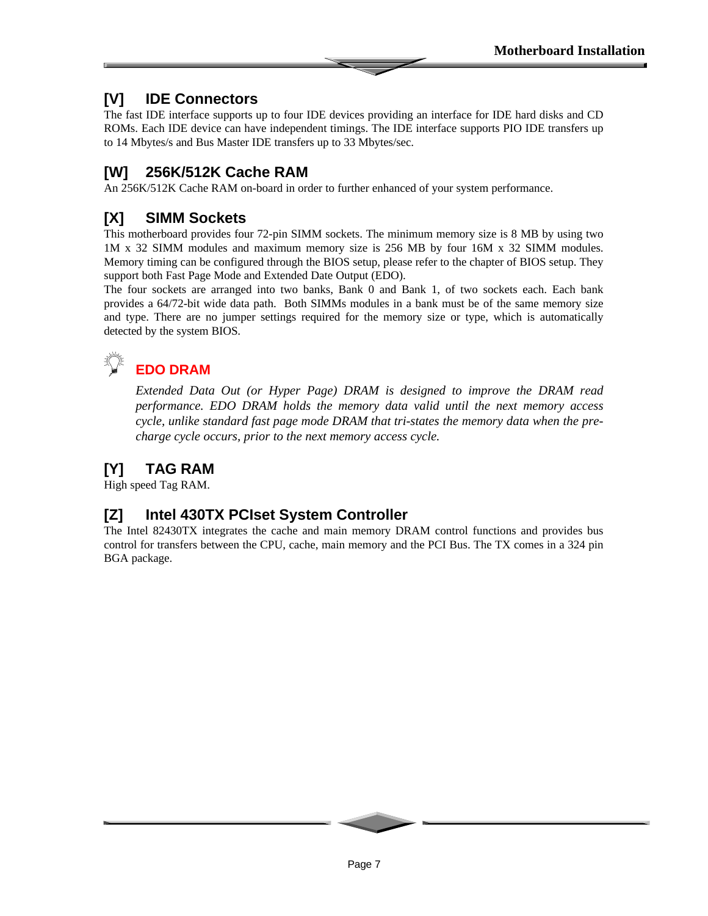# **[V] IDE Connectors**

The fast IDE interface supports up to four IDE devices providing an interface for IDE hard disks and CD ROMs. Each IDE device can have independent timings. The IDE interface supports PIO IDE transfers up to 14 Mbytes/s and Bus Master IDE transfers up to 33 Mbytes/sec.

# **[W] 256K/512K Cache RAM**

An 256K/512K Cache RAM on-board in order to further enhanced of your system performance.

# **[X] SIMM Sockets**

This motherboard provides four 72-pin SIMM sockets. The minimum memory size is 8 MB by using two 1M x 32 SIMM modules and maximum memory size is 256 MB by four 16M x 32 SIMM modules. Memory timing can be configured through the BIOS setup, please refer to the chapter of BIOS setup. They support both Fast Page Mode and Extended Date Output (EDO).

The four sockets are arranged into two banks, Bank 0 and Bank 1, of two sockets each. Each bank provides a 64/72-bit wide data path. Both SIMMs modules in a bank must be of the same memory size and type. There are no jumper settings required for the memory size or type, which is automatically detected by the system BIOS.

# **EDO DRAM**

*Extended Data Out (or Hyper Page) DRAM is designed to improve the DRAM read performance. EDO DRAM holds the memory data valid until the next memory access cycle, unlike standard fast page mode DRAM that tri-states the memory data when the precharge cycle occurs, prior to the next memory access cycle.*

# **[Y] TAG RAM**

High speed Tag RAM.

#### **[Z] Intel 430TX PCIset System Controller**

The Intel 82430TX integrates the cache and main memory DRAM control functions and provides bus control for transfers between the CPU, cache, main memory and the PCI Bus. The TX comes in a 324 pin BGA package.

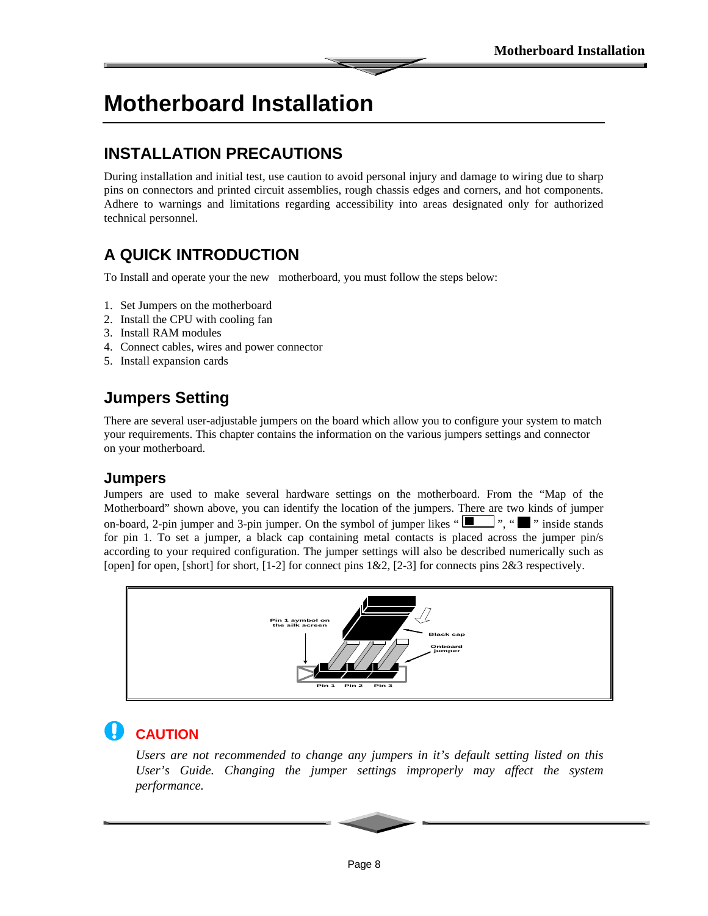# **Motherboard Installation**

# **INSTALLATION PRECAUTIONS**

During installation and initial test, use caution to avoid personal injury and damage to wiring due to sharp pins on connectors and printed circuit assemblies, rough chassis edges and corners, and hot components. Adhere to warnings and limitations regarding accessibility into areas designated only for authorized technical personnel.

# **A QUICK INTRODUCTION**

To Install and operate your the new motherboard, you must follow the steps below:

- 1. Set Jumpers on the motherboard
- 2. Install the CPU with cooling fan
- 3. Install RAM modules
- 4. Connect cables, wires and power connector
- 5. Install expansion cards

# **Jumpers Setting**

There are several user-adjustable jumpers on the board which allow you to configure your system to match your requirements. This chapter contains the information on the various jumpers settings and connector on your motherboard.

#### **Jumpers**

Jumpers are used to make several hardware settings on the motherboard. From the "Map of the Motherboard" shown above, you can identify the location of the jumpers. There are two kinds of jumper on-board, 2-pin jumper and 3-pin jumper. On the symbol of jumper likes " $\Box$ ", " $\Box$ " inside stands for pin 1. To set a jumper, a black cap containing metal contacts is placed across the jumper pin/s according to your required configuration. The jumper settings will also be described numerically such as [open] for open, [short] for short, [1-2] for connect pins  $1&2$ , [2-3] for connects pins  $2&3$  respectively.



# **CAUTION**

*Users are not recommended to change any jumpers in it's default setting listed on this User's Guide. Changing the jumper settings improperly may affect the system performance.*

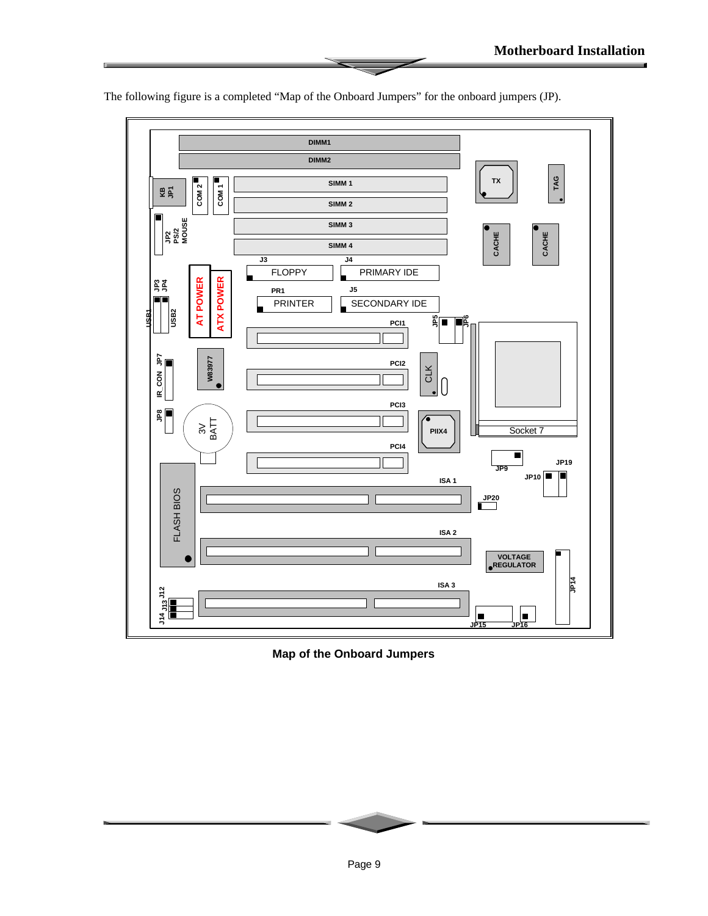**DIMM1 DIMM2 TAG TX SIMM 1 COM 2 COM 1 KB JP1 SIMM 2 PS/2 MOUSE SIMM 3 CACHE CACHE JP8 JP7 JP7 JP7 JP7 JP7 JP7 JP7 JP7 JP7 JP7 JP7 JP7 JP7 JP7 JP7 JP7 SIMM 4 J3 J4** FLOPPY PRIMARY IDE **ATX POWER AT POWER JP3 JP4 PR1 J5** PRINTER SECONDARY IDE **USB2 USB1 JP5 JP6 PCI1** ξI **W83977 PCI2** CLK **IR\_CON PCI3**  $\frac{1}{2}$ **I**<br>**I**<br>24<br>  $\frac{1}{2}$ <br>  $\frac{1}{2}$ <br>  $\frac{1}{2}$ <br>  $\frac{1}{2}$ <br>  $\frac{1}{2}$ <br>  $\frac{1}{2}$ <br>  $\frac{1}{2}$  $\frac{1}{2}$ Socket 7 **PIIX4 PCI4**  $\blacksquare$ **JP19 JP9 JP10** Г E **ISA 1** FLASH BIOS **JP20 ISA 2 VOLTAGE REGULATOR JP14 ISA 3 J14** <sub>J13</sub> J12 E Œ. **JP15 JP16**

The following figure is a completed "Map of the Onboard Jumpers" for the onboard jumpers (JP).

**Map of the Onboard Jumpers**

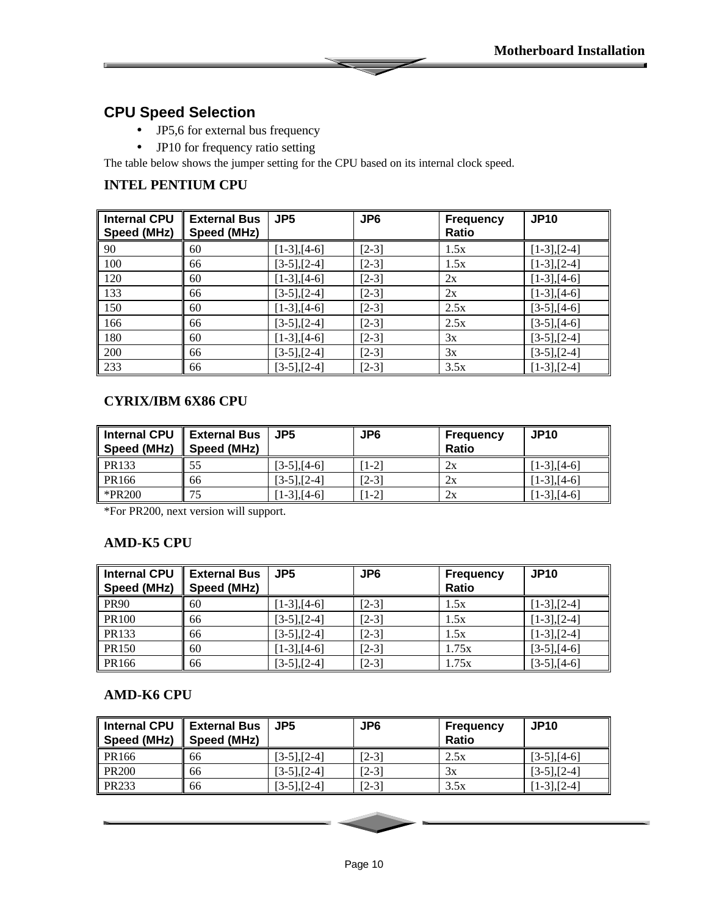#### **CPU Speed Selection**

- JP5,6 for external bus frequency
- JP10 for frequency ratio setting

The table below shows the jumper setting for the CPU based on its internal clock speed.

#### **INTEL PENTIUM CPU**

| <b>Internal CPU</b><br>Speed (MHz) | <b>External Bus</b><br>Speed (MHz) | JP5               | JP <sub>6</sub> | <b>Frequency</b><br>Ratio | <b>JP10</b>       |
|------------------------------------|------------------------------------|-------------------|-----------------|---------------------------|-------------------|
| 90                                 | 60                                 | $[1-3]$ , $[4-6]$ | $[2-3]$         | 1.5x                      | $[1-3]$ , $[2-4]$ |
| 100                                | 66                                 | $[3-5]$ , $[2-4]$ | $[2-3]$         | 1.5x                      | $[1-3]$ , $[2-4]$ |
| 120                                | 60                                 | $[1-3]$ , [4-6]   | $[2-3]$         | 2x                        | $[1-3]$ , [4-6]   |
| 133                                | 66                                 | $[3-5]$ , $[2-4]$ | $[2-3]$         | 2x                        | $[1-3]$ , [4-6]   |
| 150                                | 60                                 | $[1-3]$ , [4-6]   | $[2-3]$         | 2.5x                      | $[3-5]$ , [4-6]   |
| 166                                | 66                                 | $[3-5]$ , $[2-4]$ | $[2-3]$         | 2.5x                      | $[3-5]$ , [4-6]   |
| 180                                | 60                                 | $[1-3]$ , [4-6]   | $[2-3]$         | 3x                        | $[3-5]$ , $[2-4]$ |
| 200                                | 66                                 | $[3-5]$ , $[2-4]$ | $[2-3]$         | 3x                        | $[3-5]$ , $[2-4]$ |
| 233                                | 66                                 | $[3-5]$ , $[2-4]$ | $[2-3]$         | 3.5x                      | $[1-3]$ , $[2-4]$ |

#### **CYRIX/IBM 6X86 CPU**

| Internal CPU   External Bus<br>Speed (MHz) Speed (MHz) |    | JP <sub>5</sub>   | JP6    | <b>Frequency</b><br><b>Ratio</b> | <b>JP10</b>       |
|--------------------------------------------------------|----|-------------------|--------|----------------------------------|-------------------|
| PR133                                                  | 55 | $[3-5]$ , $[4-6]$ | $1-21$ | 2x                               | $[1-3]$ , $[4-6]$ |
| <b>PR166</b>                                           | 66 | $[3-5]$ , $[2-4]$ | [2-3]  | 2х                               | $[1-3]$ , $[4-6]$ |
| *PR200                                                 | 75 | $[1-3]$ , $[4-6]$ | $1-21$ | 2x                               | $[1-3]$ , [4-6]   |

\*For PR200, next version will support.

#### **AMD-K5 CPU**

| <b>Internal CPU</b><br>Speed (MHz) | <b>■ External Bus</b><br>$\parallel$ Speed (MHz) | JP5               | JP <sub>6</sub> | <b>Frequency</b><br>Ratio | <b>JP10</b>       |
|------------------------------------|--------------------------------------------------|-------------------|-----------------|---------------------------|-------------------|
| <b>PR90</b>                        | 60                                               | $[1-3]$ , [4-6]   | $[2-3]$         | 1.5x                      | $[1-3]$ , $[2-4]$ |
| <b>PR100</b>                       | 66                                               | $[3-5]$ , $[2-4]$ | $[2-3]$         | 1.5x                      | $[1-3]$ , $[2-4]$ |
| PR133                              | 66                                               | $[3-5]$ , $[2-4]$ | $[2-3]$         | 1.5x                      | $[1-3]$ , $[2-4]$ |
| <b>PR150</b>                       | 60                                               | $[1-3]$ , $[4-6]$ | $[2-3]$         | 1.75x                     | $[3-5]$ , [4-6]   |
| <b>PR166</b>                       | 66                                               | $[3-5]$ , $[2-4]$ | $[2-3]$         | 1.75x                     | $[3-5]$ , [4-6]   |

#### **AMD-K6 CPU**

| Internal CPU   External Bus<br>Speed (MHz) | Speed (MHz) | JP5               | JP <sub>6</sub> | <b>Frequency</b><br><b>Ratio</b> | <b>JP10</b>       |
|--------------------------------------------|-------------|-------------------|-----------------|----------------------------------|-------------------|
| PR166                                      | 66          | $[3-5]$ , $[2-4]$ | $[2-3]$         | 2.5x                             | $[3-5]$ , $[4-6]$ |
| <b>PR200</b>                               | 66          | $[3-5]$ , $[2-4]$ | $[2-3]$         | Зx                               | $[3-5]$ , $[2-4]$ |
| <b>PR233</b>                               | 66          | $[3-5]$ , $[2-4]$ | $[2-3]$         | 3.5x                             | $[1-3]$ , $[2-4]$ |

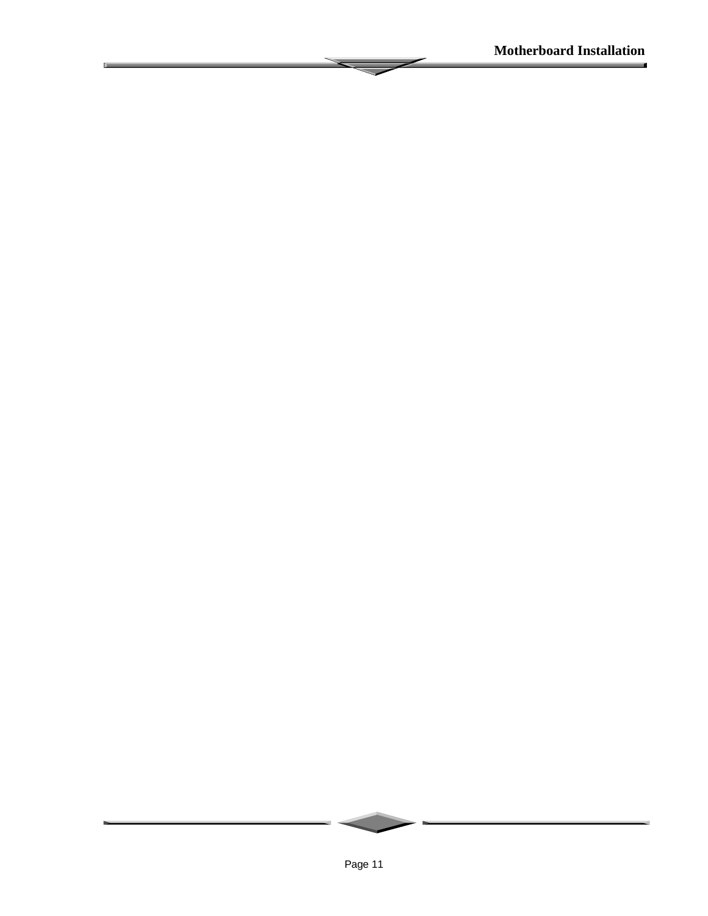$\overline{\phantom{0}}$ 

à.

 $\overline{\phantom{0}}$ 

a a

<u> I american provincia de la pro</u>

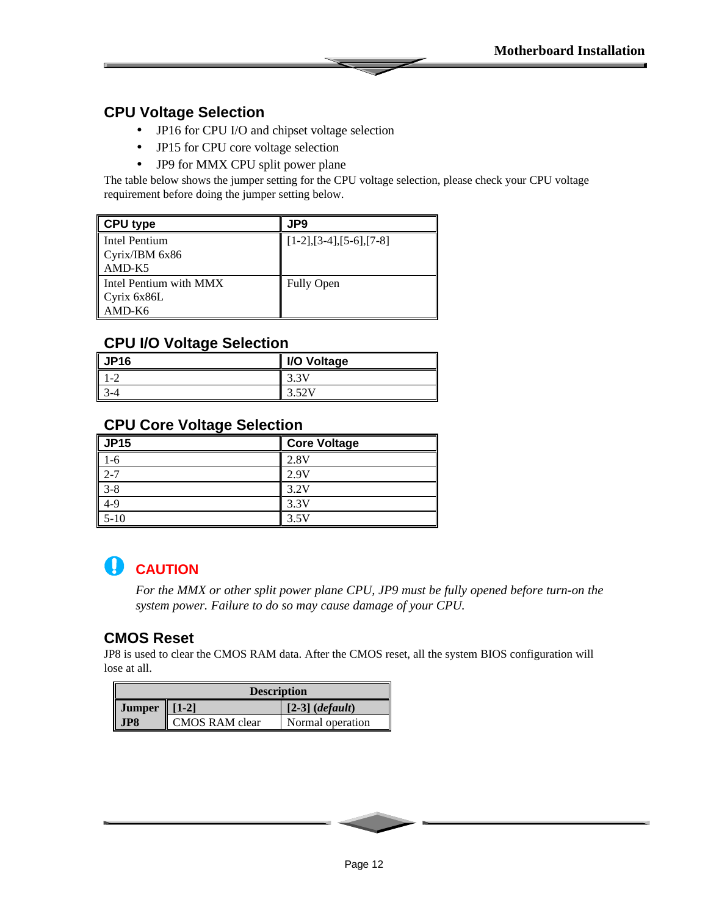#### **CPU Voltage Selection**

- JP16 for CPU I/O and chipset voltage selection
- JP15 for CPU core voltage selection
- JP9 for MMX CPU split power plane

The table below shows the jumper setting for the CPU voltage selection, please check your CPU voltage requirement before doing the jumper setting below.

| <b>CPU type</b>        | JP9                                   |
|------------------------|---------------------------------------|
| Intel Pentium          | $[1-2]$ , $[3-4]$ , $[5-6]$ , $[7-8]$ |
| Cyrix/IBM 6x86         |                                       |
| $AMD-K5$               |                                       |
| Intel Pentium with MMX | Fully Open                            |
| Cyrix 6x86L            |                                       |
| $AMD-K6$               |                                       |

#### **CPU I/O Voltage Selection**

| <b>JP16</b>         | I/O Voltage |  |
|---------------------|-------------|--|
| $\cdot$ – $\cdot$ . | ن ر         |  |
| `–⊿                 | ∟ د ب       |  |

#### **CPU Core Voltage Selection**

| <b>JP15</b> | <b>Core Voltage</b> |
|-------------|---------------------|
| $1-6$       | 2.8V                |
| $2 - 7$     | 2.9V                |
| $3 - 8$     | 3.2V                |
| $4-9$       | 3.3V                |
| $5 - 10$    | 3.5V                |



# **Q** CAUTION

*For the MMX or other split power plane CPU, JP9 must be fully opened before turn-on the system power. Failure to do so may cause damage of your CPU.*

# **CMOS Reset**

JP8 is used to clear the CMOS RAM data. After the CMOS reset, all the system BIOS configuration will lose at all.

| <b>Description</b> |                       |                  |
|--------------------|-----------------------|------------------|
| Jumper $ $ [1-2]   | $[2-3]$ (default)     |                  |
| JP8                | <b>CMOS RAM</b> clear | Normal operation |

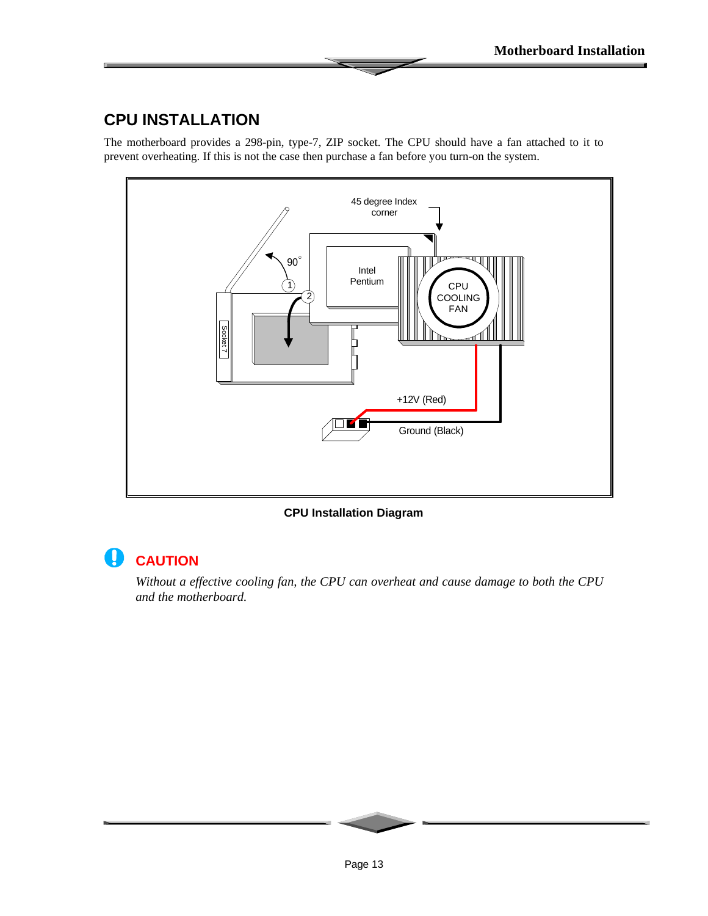# **CPU INSTALLATION**

The motherboard provides a 298-pin, type-7, ZIP socket. The CPU should have a fan attached to it to prevent overheating. If this is not the case then purchase a fan before you turn-on the system.



**CPU Installation Diagram**

#### $\bf{0}$ **CAUTION**

*Without a effective cooling fan, the CPU can overheat and cause damage to both the CPU and the motherboard.*

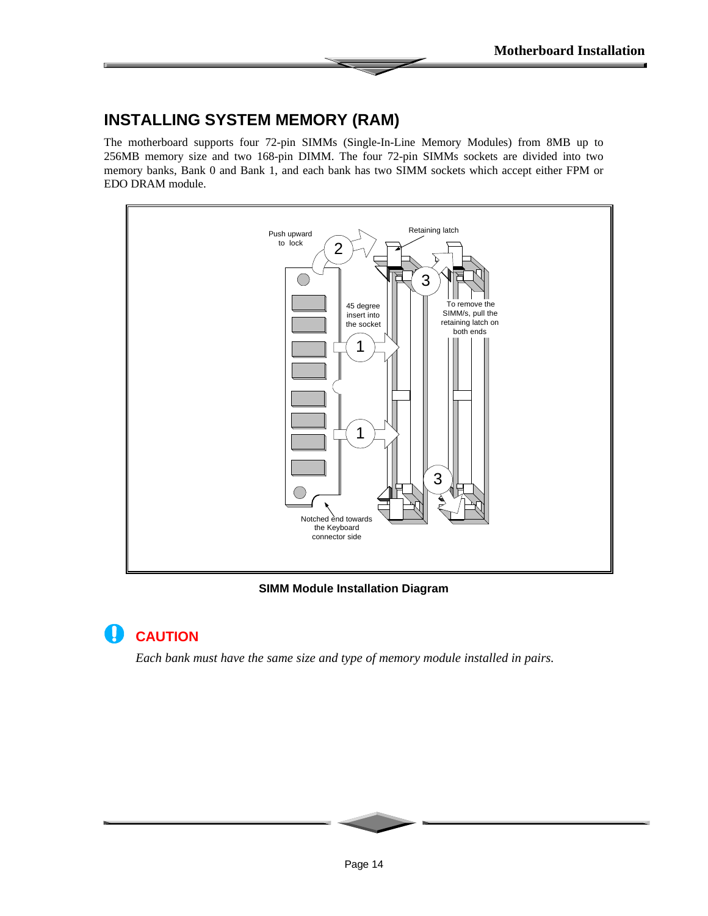### **INSTALLING SYSTEM MEMORY (RAM)**

The motherboard supports four 72-pin SIMMs (Single-In-Line Memory Modules) from 8MB up to 256MB memory size and two 168-pin DIMM. The four 72-pin SIMMs sockets are divided into two memory banks, Bank 0 and Bank 1, and each bank has two SIMM sockets which accept either FPM or EDO DRAM module.



**SIMM Module Installation Diagram**

# **QCAUTION**

*Each bank must have the same size and type of memory module installed in pairs.*

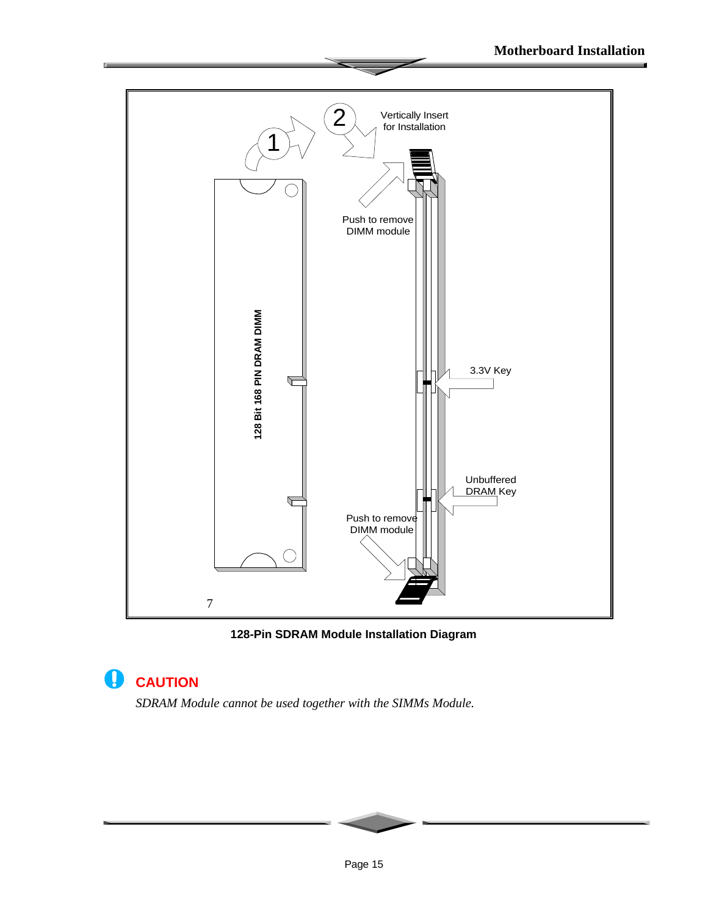

**128-Pin SDRAM Module Installation Diagram**



*SDRAM Module cannot be used together with the SIMMs Module.*

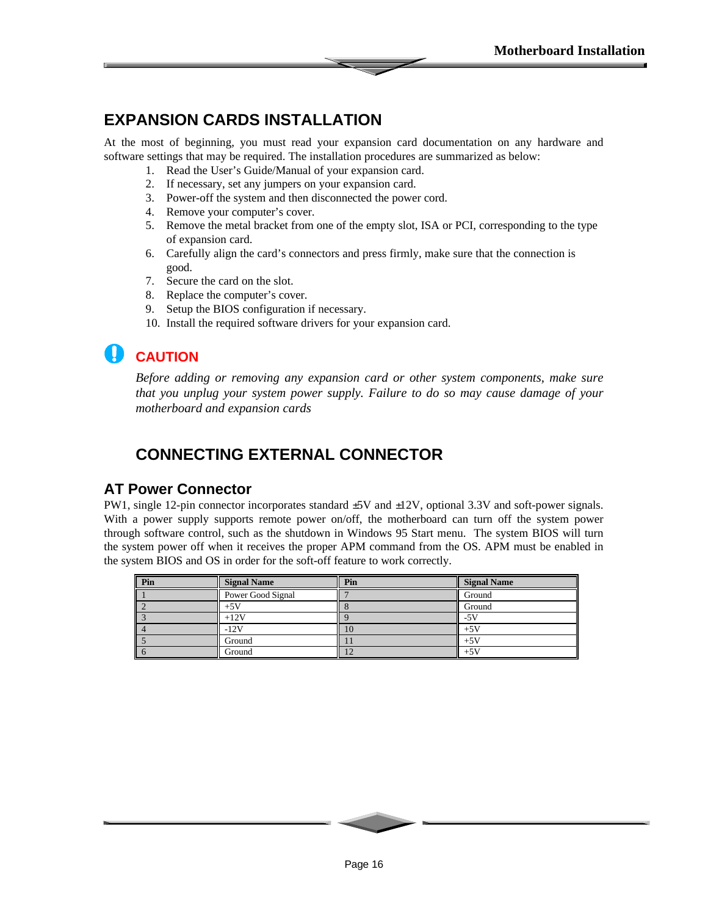# **EXPANSION CARDS INSTALLATION**

At the most of beginning, you must read your expansion card documentation on any hardware and software settings that may be required. The installation procedures are summarized as below:

- 1. Read the User's Guide/Manual of your expansion card.
- 2. If necessary, set any jumpers on your expansion card.
- 3. Power-off the system and then disconnected the power cord.
- 4. Remove your computer's cover.
- 5. Remove the metal bracket from one of the empty slot, ISA or PCI, corresponding to the type of expansion card.
- 6. Carefully align the card's connectors and press firmly, make sure that the connection is good.
- 7. Secure the card on the slot.
- 8. Replace the computer's cover.
- 9. Setup the BIOS configuration if necessary.
- 10. Install the required software drivers for your expansion card.

# **CAUTION**

*Before adding or removing any expansion card or other system components, make sure that you unplug your system power supply. Failure to do so may cause damage of your motherboard and expansion cards*

# **CONNECTING EXTERNAL CONNECTOR**

#### **AT Power Connector**

PW1, single 12-pin connector incorporates standard ±5V and ±12V, optional 3.3V and soft-power signals. With a power supply supports remote power on/off, the motherboard can turn off the system power through software control, such as the shutdown in Windows 95 Start menu. The system BIOS will turn the system power off when it receives the proper APM command from the OS. APM must be enabled in the system BIOS and OS in order for the soft-off feature to work correctly.

| Pin | <b>Signal Name</b> | Pin | <b>Signal Name</b> |
|-----|--------------------|-----|--------------------|
|     | Power Good Signal  |     | Ground             |
|     | +5V                |     | Ground             |
|     | $+12V$             |     |                    |
|     | $-12V$             | 10  |                    |
|     | Ground             |     |                    |
|     | Ground             | 12  | $+5$               |

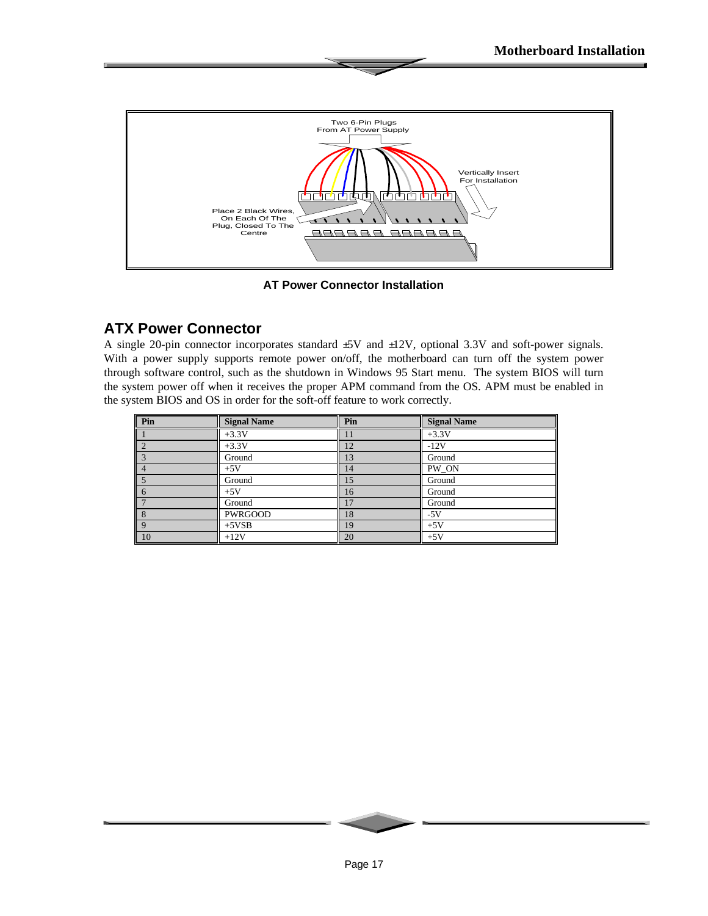

**AT Power Connector Installation**

#### **ATX Power Connector**

A single 20-pin connector incorporates standard ±5V and ±12V, optional 3.3V and soft-power signals. With a power supply supports remote power on/off, the motherboard can turn off the system power through software control, such as the shutdown in Windows 95 Start menu. The system BIOS will turn the system power off when it receives the proper APM command from the OS. APM must be enabled in the system BIOS and OS in order for the soft-off feature to work correctly.

| Pin | <b>Signal Name</b> | Pin            | <b>Signal Name</b> |
|-----|--------------------|----------------|--------------------|
|     | $+3.3V$            | 11             | $+3.3V$            |
|     | $+3.3V$            | 12             | $-12V$             |
|     | Ground             | 13             | Ground             |
|     | $+5V$              | 14             | PW_ON              |
|     | Ground             | 15             | Ground             |
| 6   | $+5V$              | 16             | Ground             |
|     | Ground             | $\overline{7}$ | Ground             |
| 8   | <b>PWRGOOD</b>     | 18             | $-5V$              |
| Q   | $+5VSB$            | 19             | $+5V$              |
| 10  | $+12V$             | 20             | $+5V$              |

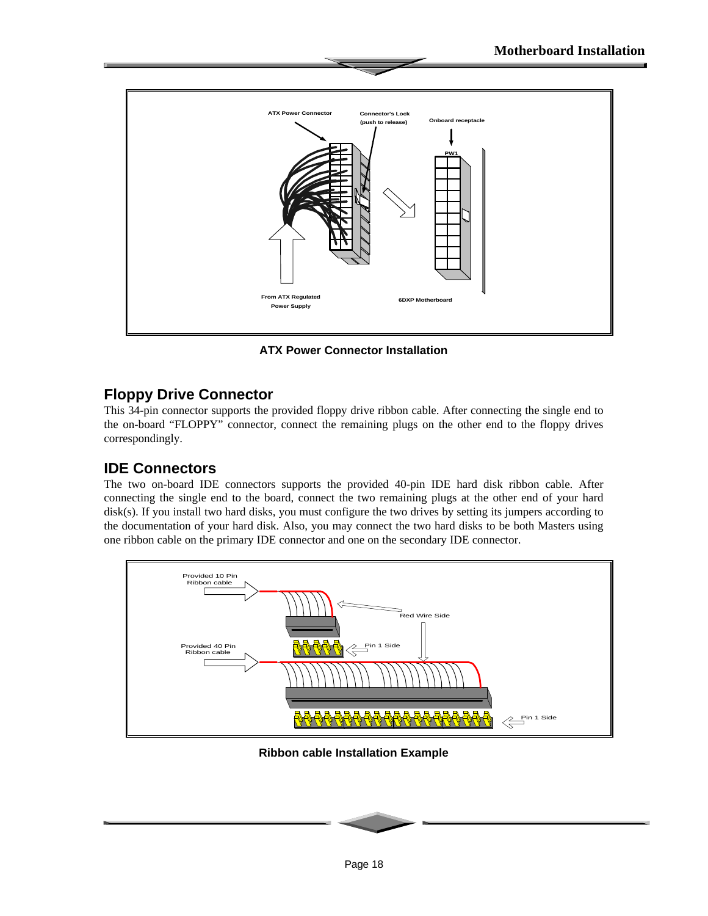

**ATX Power Connector Installation**

### **Floppy Drive Connector**

This 34-pin connector supports the provided floppy drive ribbon cable. After connecting the single end to the on-board "FLOPPY" connector, connect the remaining plugs on the other end to the floppy drives correspondingly.

# **IDE Connectors**

The two on-board IDE connectors supports the provided 40-pin IDE hard disk ribbon cable. After connecting the single end to the board, connect the two remaining plugs at the other end of your hard disk(s). If you install two hard disks, you must configure the two drives by setting its jumpers according to the documentation of your hard disk. Also, you may connect the two hard disks to be both Masters using one ribbon cable on the primary IDE connector and one on the secondary IDE connector.



**Ribbon cable Installation Example**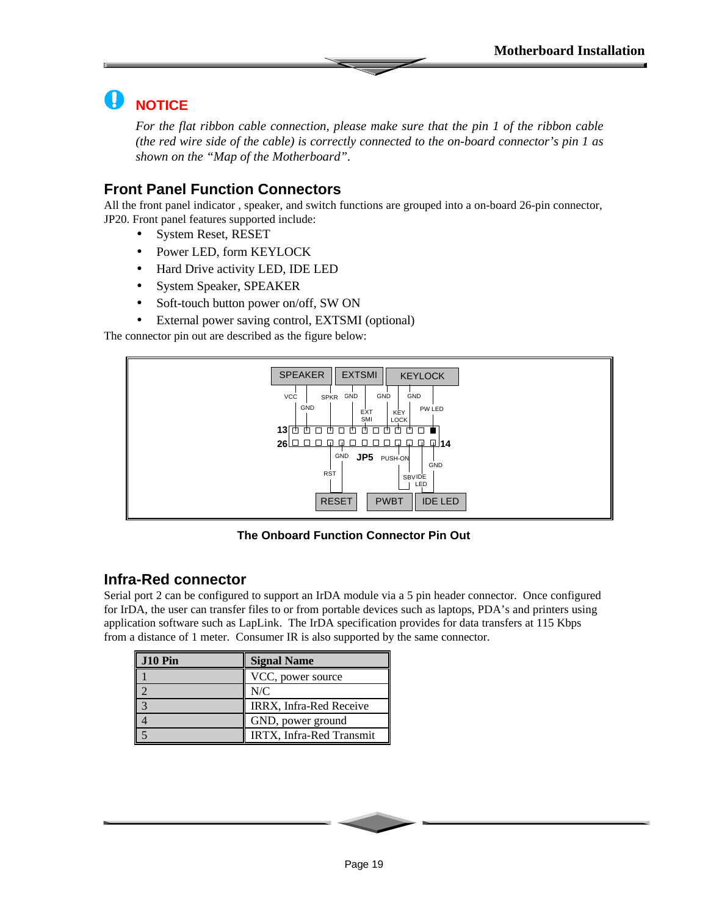# **O** NOTICE

*For the flat ribbon cable connection, please make sure that the pin 1 of the ribbon cable (the red wire side of the cable) is correctly connected to the on-board connector's pin 1 as shown on the "Map of the Motherboard".*

#### **Front Panel Function Connectors**

All the front panel indicator , speaker, and switch functions are grouped into a on-board 26-pin connector, JP20. Front panel features supported include:

- System Reset, RESET
- Power LED, form KEYLOCK
- Hard Drive activity LED, IDE LED
- System Speaker, SPEAKER
- Soft-touch button power on/off, SW ON
- External power saving control, EXTSMI (optional)

The connector pin out are described as the figure below:



**The Onboard Function Connector Pin Out**

#### **Infra-Red connector**

Serial port 2 can be configured to support an IrDA module via a 5 pin header connector. Once configured for IrDA, the user can transfer files to or from portable devices such as laptops, PDA's and printers using application software such as LapLink. The IrDA specification provides for data transfers at 115 Kbps from a distance of 1 meter. Consumer IR is also supported by the same connector.

| <b>J10 Pin</b> | <b>Signal Name</b>       |
|----------------|--------------------------|
|                | VCC, power source        |
|                | N/C                      |
|                | IRRX, Infra-Red Receive  |
|                | GND, power ground        |
|                | IRTX, Infra-Red Transmit |

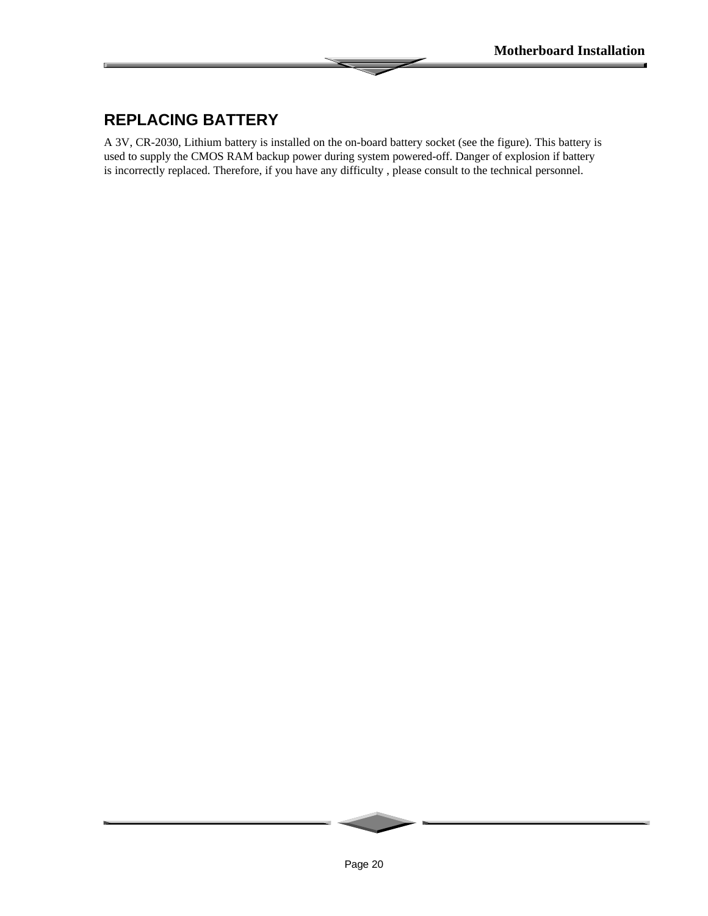$\overline{\phantom{0}}$ 

# **REPLACING BATTERY**

A 3V, CR-2030, Lithium battery is installed on the on-board battery socket (see the figure). This battery is used to supply the CMOS RAM backup power during system powered-off. Danger of explosion if battery is incorrectly replaced. Therefore, if you have any difficulty , please consult to the technical personnel.

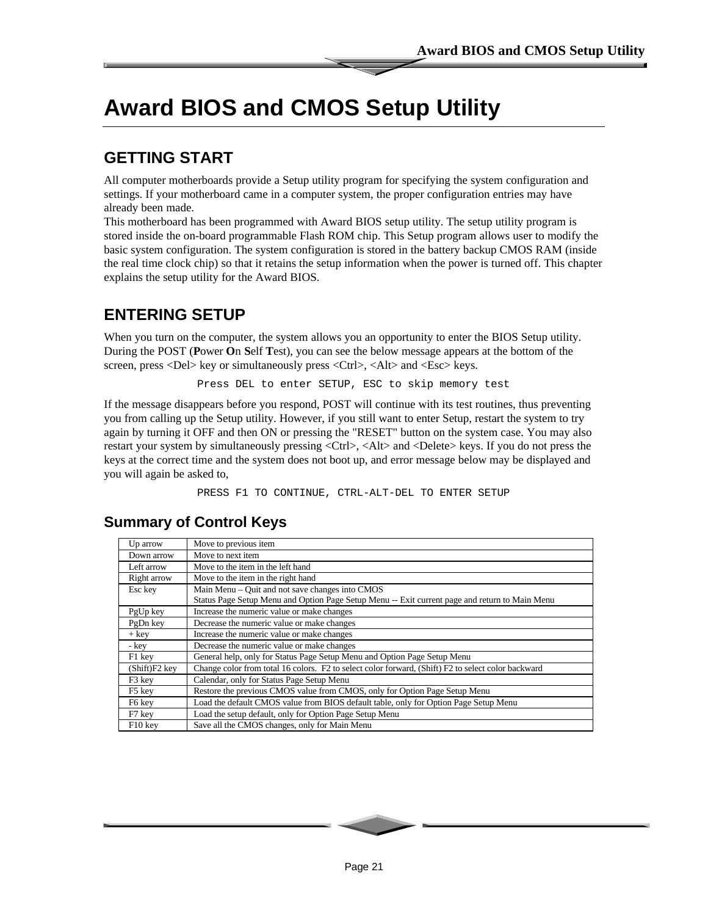# **Award BIOS and CMOS Setup Utility**

# **GETTING START**

All computer motherboards provide a Setup utility program for specifying the system configuration and settings. If your motherboard came in a computer system, the proper configuration entries may have already been made.

This motherboard has been programmed with Award BIOS setup utility. The setup utility program is stored inside the on-board programmable Flash ROM chip. This Setup program allows user to modify the basic system configuration. The system configuration is stored in the battery backup CMOS RAM (inside the real time clock chip) so that it retains the setup information when the power is turned off. This chapter explains the setup utility for the Award BIOS.

# **ENTERING SETUP**

When you turn on the computer, the system allows you an opportunity to enter the BIOS Setup utility. During the POST (**P**ower **O**n **S**elf **T**est), you can see the below message appears at the bottom of the screen, press <Del> key or simultaneously press <Ctrl>, <Alt> and <Esc> keys.

Press DEL to enter SETUP, ESC to skip memory test

If the message disappears before you respond, POST will continue with its test routines, thus preventing you from calling up the Setup utility. However, if you still want to enter Setup, restart the system to try again by turning it OFF and then ON or pressing the "RESET" button on the system case. You may also restart your system by simultaneously pressing <Ctrl>, <Alt> and <Delete> keys. If you do not press the keys at the correct time and the system does not boot up, and error message below may be displayed and you will again be asked to,

PRESS F1 TO CONTINUE, CTRL-ALT-DEL TO ENTER SETUP

#### **Summary of Control Keys**

| Up arrow            | Move to previous item                                                                              |
|---------------------|----------------------------------------------------------------------------------------------------|
|                     |                                                                                                    |
| Down arrow          | Move to next item                                                                                  |
| Left arrow          | Move to the item in the left hand                                                                  |
| Right arrow         | Move to the item in the right hand                                                                 |
| Esc key             | Main Menu – Quit and not save changes into CMOS                                                    |
|                     | Status Page Setup Menu and Option Page Setup Menu -- Exit current page and return to Main Menu     |
| PgUp key            | Increase the numeric value or make changes                                                         |
| PgDn key            | Decrease the numeric value or make changes                                                         |
| $+$ key             | Increase the numeric value or make changes                                                         |
| - key               | Decrease the numeric value or make changes                                                         |
| F1 key              | General help, only for Status Page Setup Menu and Option Page Setup Menu                           |
| $(Shift)F2$ key     | Change color from total 16 colors. F2 to select color forward, (Shift) F2 to select color backward |
| F <sub>3</sub> key  | Calendar, only for Status Page Setup Menu                                                          |
| F <sub>5</sub> key  | Restore the previous CMOS value from CMOS, only for Option Page Setup Menu                         |
| F <sub>6</sub> key  | Load the default CMOS value from BIOS default table, only for Option Page Setup Menu               |
| F7 key              | Load the setup default, only for Option Page Setup Menu                                            |
| F <sub>10</sub> key | Save all the CMOS changes, only for Main Menu                                                      |

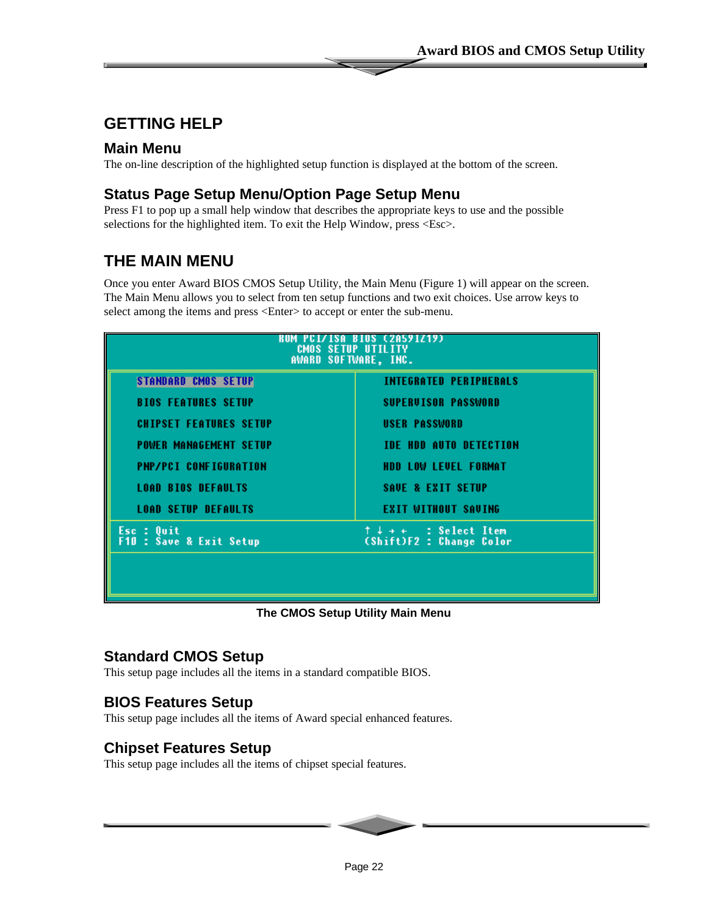# **GETTING HELP**

#### **Main Menu**

The on-line description of the highlighted setup function is displayed at the bottom of the screen.

#### **Status Page Setup Menu/Option Page Setup Menu**

Press F1 to pop up a small help window that describes the appropriate keys to use and the possible selections for the highlighted item. To exit the Help Window, press <Esc>.

# **THE MAIN MENU**

Once you enter Award BIOS CMOS Setup Utility, the Main Menu (Figure 1) will appear on the screen. The Main Menu allows you to select from ten setup functions and two exit choices. Use arrow keys to select among the items and press <Enter> to accept or enter the sub-menu.

| <b>ROM PCI/ISA BIOS (2A59IZ19)</b><br><b>CMOS SETUP UTILITY</b><br>AWARD SOFTWARE, INC. |                                                                                                       |  |  |
|-----------------------------------------------------------------------------------------|-------------------------------------------------------------------------------------------------------|--|--|
| <b>STANDARD CMOS SETUP</b>                                                              | <b>INTEGRATED PERIPHERALS</b>                                                                         |  |  |
| <b>BIOS FEATURES SETUP</b>                                                              | SUPERVISOR PASSWORD                                                                                   |  |  |
| <b>CHIPSET FEATURES SETUP</b>                                                           | USER PASSWORD                                                                                         |  |  |
| <b>POWER MANAGEMENT SETUP</b>                                                           | <b>TDE HDD AUTO DETECTION</b>                                                                         |  |  |
| <b>PNP/PCI CONFIGURATION</b>                                                            | HOD LOW LEVEL FORMAT                                                                                  |  |  |
| <b>LOAD BIOS DEFAULTS</b>                                                               | <b>SAVE &amp; EXIT SETUP</b>                                                                          |  |  |
| <b>LOAD SETUP DEFAULTS</b>                                                              | <b>EXIT WITHOUT SAUING</b>                                                                            |  |  |
| Esc : Quit<br>F10 : Save & Exit Setup                                                   | $\uparrow$ $\downarrow$ $\rightarrow$ $\leftarrow$ $\qquad$ : Select Item<br>(Shift)F2 : Change Color |  |  |
|                                                                                         |                                                                                                       |  |  |
|                                                                                         |                                                                                                       |  |  |

**The CMOS Setup Utility Main Menu**

#### **Standard CMOS Setup**

This setup page includes all the items in a standard compatible BIOS.

#### **BIOS Features Setup**

This setup page includes all the items of Award special enhanced features.

#### **Chipset Features Setup**

This setup page includes all the items of chipset special features.

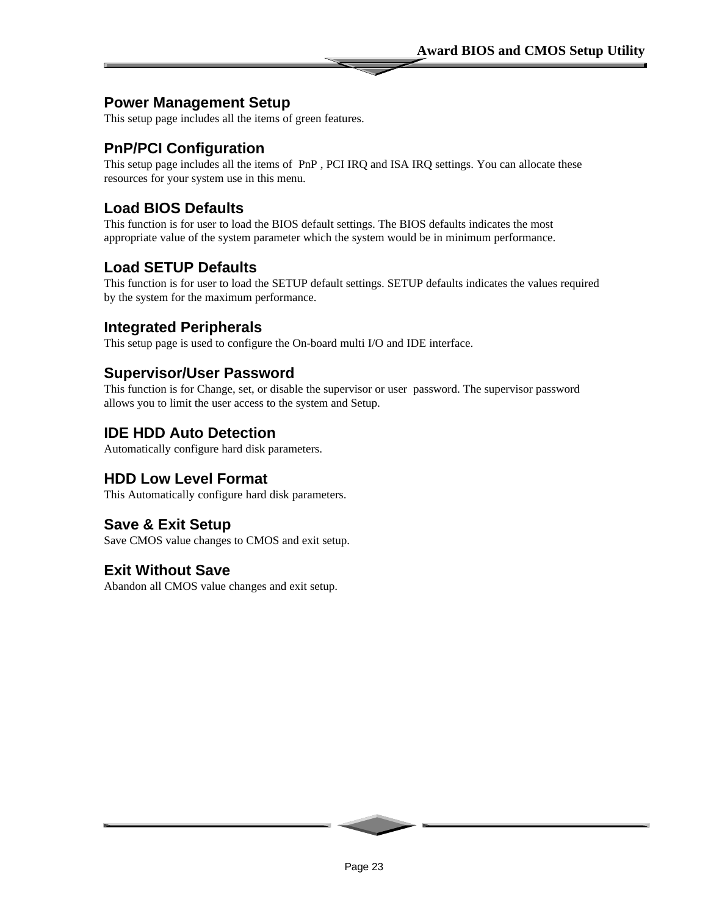#### **Power Management Setup**

This setup page includes all the items of green features.

#### **PnP/PCI Configuration**

This setup page includes all the items of PnP , PCI IRQ and ISA IRQ settings. You can allocate these resources for your system use in this menu.

#### **Load BIOS Defaults**

This function is for user to load the BIOS default settings. The BIOS defaults indicates the most appropriate value of the system parameter which the system would be in minimum performance.

#### **Load SETUP Defaults**

This function is for user to load the SETUP default settings. SETUP defaults indicates the values required by the system for the maximum performance.

#### **Integrated Peripherals**

This setup page is used to configure the On-board multi I/O and IDE interface.

#### **Supervisor/User Password**

This function is for Change, set, or disable the supervisor or user password. The supervisor password allows you to limit the user access to the system and Setup.

#### **IDE HDD Auto Detection**

Automatically configure hard disk parameters.

#### **HDD Low Level Format**

This Automatically configure hard disk parameters.

#### **Save & Exit Setup**

Save CMOS value changes to CMOS and exit setup.

#### **Exit Without Save**

Abandon all CMOS value changes and exit setup.

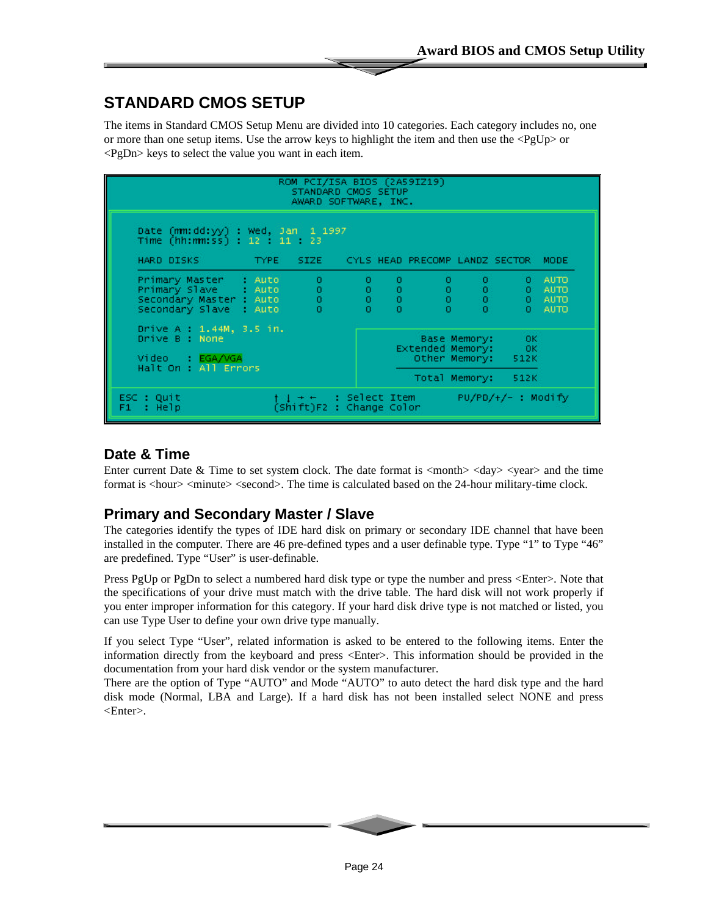# **STANDARD CMOS SETUP**

The items in Standard CMOS Setup Menu are divided into 10 categories. Each category includes no, one or more than one setup items. Use the arrow keys to highlight the item and then use the <PgUp> or <PgDn> keys to select the value you want in each item.

| ROM PCI/ISA BIOS (2A59IZ19)<br>STANDARD CMOS SETUP<br>AWARD SOFTWARE, INC.                         |                                                   |  |                                                  |    |                                                      |                                                              |                  |
|----------------------------------------------------------------------------------------------------|---------------------------------------------------|--|--------------------------------------------------|----|------------------------------------------------------|--------------------------------------------------------------|------------------|
| Date $(mm:dd:yy)$ : Wed, Jan 1 1997<br>Time (hh:mm: ss) : 12 : 11 : 23<br>HARD DISKS<br>TYPE SIZE  |                                                   |  |                                                  |    |                                                      | CYLS HEAD PRECOMP LANDZ SECTOR                               | MODE             |
| Primary Master : Auto<br>Primary Slave : Auto<br>Secondary Master : Auto<br>Secondary Slave : Auto | 0<br>$\sim$ $-0$<br>$\frac{1}{2}$                 |  | o<br>$\begin{matrix} 0&0\\0&0\\0&0 \end{matrix}$ | Ю. | 0<br>$\begin{matrix} 0 \\ 0 \\ 0 \end{matrix}$<br>o. | 0 0 AUTO<br>0 0 AUTO                                         | 0 AUTO<br>0 AUTO |
| Drive A : 1.44M, 3.5 in.<br>Drive B None<br>Video : EGA/VGA<br>Halt On: All Errors                 |                                                   |  |                                                  |    |                                                      | Base Memory: 0K<br>Extended Memory: 0K<br>Other Memory: 512K |                  |
| ESC : Quit<br>F1: Help                                                                             | $+ + -$ : Select Item<br>(Shift)F2 : Change Color |  |                                                  |    |                                                      | Total Memory: 512K<br>$PU/PD/+/-$ : Modify                   |                  |

#### **Date & Time**

Enter current Date  $\&$  Time to set system clock. The date format is  $\langle$ month $\rangle$  $\langle$ day $\rangle$  $\langle$ year $\rangle$  and the time format is <hour> <minute> <second>. The time is calculated based on the 24-hour military-time clock.

#### **Primary and Secondary Master / Slave**

The categories identify the types of IDE hard disk on primary or secondary IDE channel that have been installed in the computer. There are 46 pre-defined types and a user definable type. Type "1" to Type "46" are predefined. Type "User" is user-definable.

Press PgUp or PgDn to select a numbered hard disk type or type the number and press <Enter>. Note that the specifications of your drive must match with the drive table. The hard disk will not work properly if you enter improper information for this category. If your hard disk drive type is not matched or listed, you can use Type User to define your own drive type manually.

If you select Type "User", related information is asked to be entered to the following items. Enter the information directly from the keyboard and press <Enter>. This information should be provided in the documentation from your hard disk vendor or the system manufacturer.

There are the option of Type "AUTO" and Mode "AUTO" to auto detect the hard disk type and the hard disk mode (Normal, LBA and Large). If a hard disk has not been installed select NONE and press <Enter>.

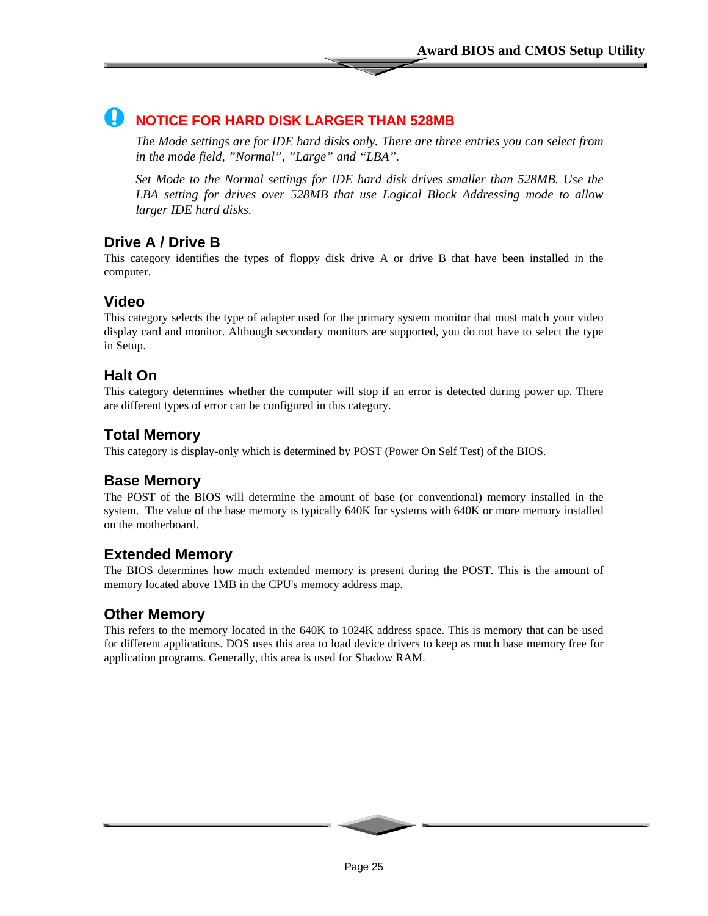# **A** NOTICE FOR HARD DISK LARGER THAN 528MB

*The Mode settings are for IDE hard disks only. There are three entries you can select from in the mode field, "Normal", "Large" and "LBA".*

*Set Mode to the Normal settings for IDE hard disk drives smaller than 528MB. Use the LBA setting for drives over 528MB that use Logical Block Addressing mode to allow larger IDE hard disks.*

### **Drive A / Drive B**

This category identifies the types of floppy disk drive A or drive B that have been installed in the computer.

#### **Video**

This category selects the type of adapter used for the primary system monitor that must match your video display card and monitor. Although secondary monitors are supported, you do not have to select the type in Setup.

#### **Halt On**

This category determines whether the computer will stop if an error is detected during power up. There are different types of error can be configured in this category.

#### **Total Memory**

This category is display-only which is determined by POST (Power On Self Test) of the BIOS.

#### **Base Memory**

The POST of the BIOS will determine the amount of base (or conventional) memory installed in the system. The value of the base memory is typically 640K for systems with 640K or more memory installed on the motherboard.

#### **Extended Memory**

The BIOS determines how much extended memory is present during the POST. This is the amount of memory located above 1MB in the CPU's memory address map.

#### **Other Memory**

This refers to the memory located in the 640K to 1024K address space. This is memory that can be used for different applications. DOS uses this area to load device drivers to keep as much base memory free for application programs. Generally, this area is used for Shadow RAM.

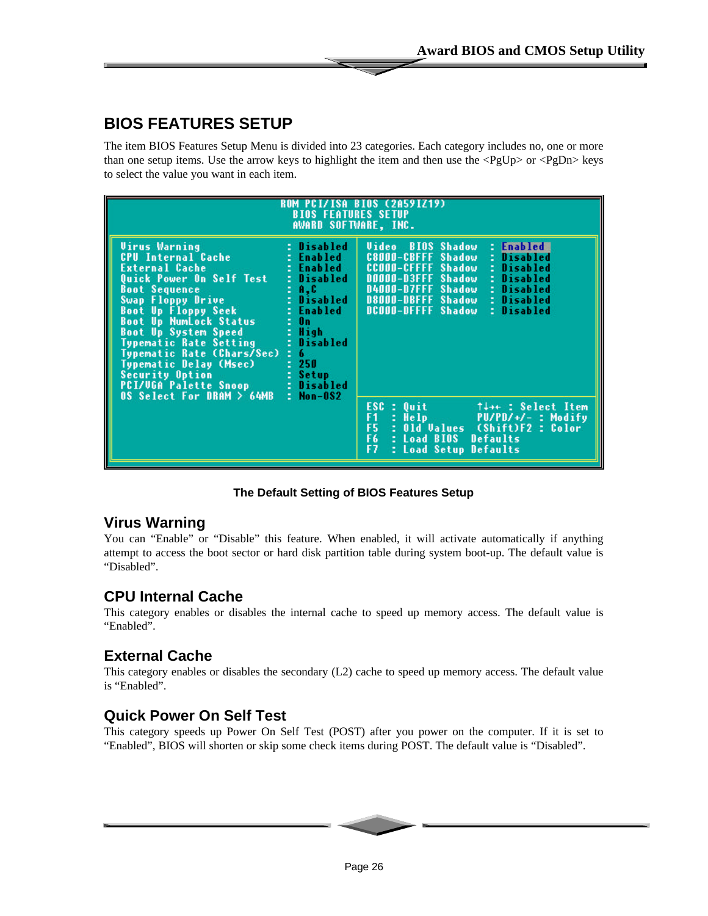# **BIOS FEATURES SETUP**

The item BIOS Features Setup Menu is divided into 23 categories. Each category includes no, one or more than one setup items. Use the arrow keys to highlight the item and then use the <PgUp> or <PgDn> keys to select the value you want in each item.

| <b>ROM PCI/ISA BIOS (2A59IZ19)</b><br><b>BIOS FEATURES SETUP</b><br>AWARD SOFTWARE, INC.                                                                                                                                                                                                                                                                                                                                                                   |                                                                                                                                                                     |                                                                                                                                                                                                                                                                                                                                                                                                                                                                                                                            |
|------------------------------------------------------------------------------------------------------------------------------------------------------------------------------------------------------------------------------------------------------------------------------------------------------------------------------------------------------------------------------------------------------------------------------------------------------------|---------------------------------------------------------------------------------------------------------------------------------------------------------------------|----------------------------------------------------------------------------------------------------------------------------------------------------------------------------------------------------------------------------------------------------------------------------------------------------------------------------------------------------------------------------------------------------------------------------------------------------------------------------------------------------------------------------|
| <b>Virus Warning</b><br>CPU Internal Cache<br><b>External Cache</b><br><b>Ouick Power On Self Test</b><br><b>Boot Sequence</b><br><b>Swap Floppy Drive</b><br><b>Boot Up Floppy Seek</b><br><b>Boot Up NumLock Status</b><br><b>Boot Up System Speed</b><br><b>Typematic Rate Setting :</b><br><b>Typematic Rate (Chars/Sec) :</b><br>Typematic Delay (Msec)<br>Security Option<br>PCI/UGA Palette Snoop : Disabled<br>OS Select For DRAM > 64MB : Hon-OS2 | <b>Disabled</b><br>– Enabled<br><b>Example 1 Enabled</b><br>: Disabled<br>A, C<br>: Disabled<br>: Enabled<br>- On<br>÷<br>High<br>Disabled<br>$\clubsuit$<br>$-250$ | Video BIOS Shadow<br><b>Enabled</b><br><b>C8000-CBFFF Shadow</b><br>: Disabled<br><b>CCOOO-CFFFF Shadow</b><br>: Disabled<br>DOOOO-D3FFF Shadow<br>: Disabled<br>D4000-D7FFF Shadow<br>: Disabled<br>D8000-DBFFF Shadow<br>: Disabled<br>DC000-DFFFF Shadow<br>: Disabled<br>ESC : Quit<br>$\uparrow \downarrow \rightarrow +$ : Select Item<br>F <sub>1</sub><br>$PU/PD/+/-$ : Modify<br>: He1p<br>F5<br><b>Old Values</b> (Shift)F2 : Color<br>÷<br>F6<br>: Load BIOS Defaults<br>F7<br><b>Load Setup Defaults</b><br>÷. |

**The Default Setting of BIOS Features Setup**

#### **Virus Warning**

You can "Enable" or "Disable" this feature. When enabled, it will activate automatically if anything attempt to access the boot sector or hard disk partition table during system boot-up. The default value is "Disabled".

#### **CPU Internal Cache**

This category enables or disables the internal cache to speed up memory access. The default value is "Enabled".

#### **External Cache**

This category enables or disables the secondary (L2) cache to speed up memory access. The default value is "Enabled".

#### **Quick Power On Self Test**

This category speeds up Power On Self Test (POST) after you power on the computer. If it is set to "Enabled", BIOS will shorten or skip some check items during POST. The default value is "Disabled".

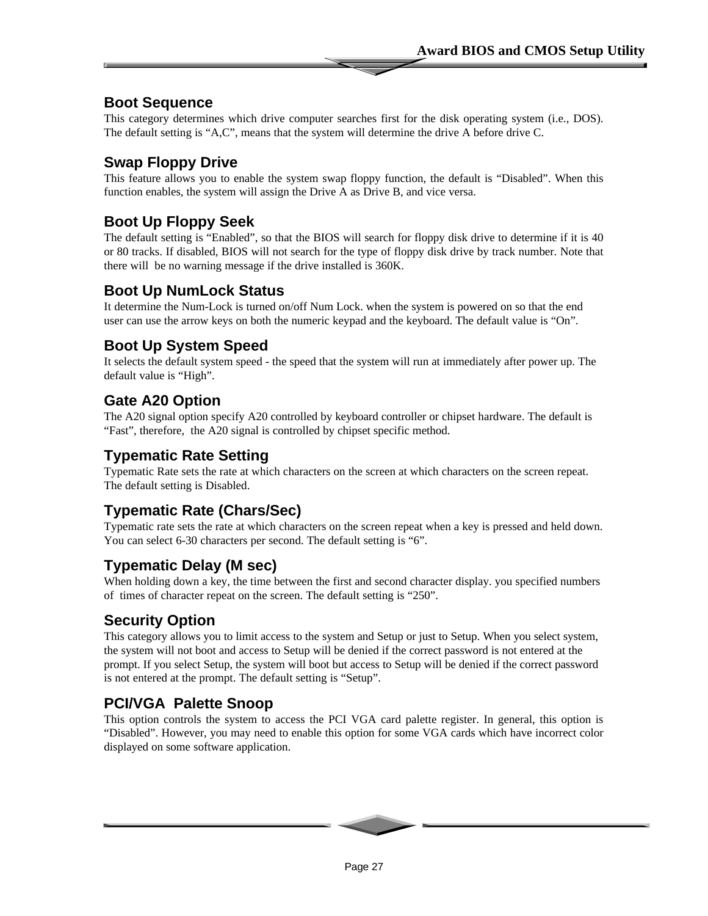#### **Boot Sequence**

This category determines which drive computer searches first for the disk operating system (i.e., DOS). The default setting is "A,C", means that the system will determine the drive A before drive C.

### **Swap Floppy Drive**

This feature allows you to enable the system swap floppy function, the default is "Disabled". When this function enables, the system will assign the Drive A as Drive B, and vice versa.

# **Boot Up Floppy Seek**

The default setting is "Enabled", so that the BIOS will search for floppy disk drive to determine if it is 40 or 80 tracks. If disabled, BIOS will not search for the type of floppy disk drive by track number. Note that there will be no warning message if the drive installed is 360K.

#### **Boot Up NumLock Status**

It determine the Num-Lock is turned on/off Num Lock. when the system is powered on so that the end user can use the arrow keys on both the numeric keypad and the keyboard. The default value is "On".

#### **Boot Up System Speed**

It selects the default system speed - the speed that the system will run at immediately after power up. The default value is "High".

#### **Gate A20 Option**

The A20 signal option specify A20 controlled by keyboard controller or chipset hardware. The default is "Fast", therefore, the A20 signal is controlled by chipset specific method.

#### **Typematic Rate Setting**

Typematic Rate sets the rate at which characters on the screen at which characters on the screen repeat. The default setting is Disabled.

# **Typematic Rate (Chars/Sec)**

Typematic rate sets the rate at which characters on the screen repeat when a key is pressed and held down. You can select 6-30 characters per second. The default setting is "6".

#### **Typematic Delay (M sec)**

When holding down a key, the time between the first and second character display. you specified numbers of times of character repeat on the screen. The default setting is "250".

# **Security Option**

This category allows you to limit access to the system and Setup or just to Setup. When you select system, the system will not boot and access to Setup will be denied if the correct password is not entered at the prompt. If you select Setup, the system will boot but access to Setup will be denied if the correct password is not entered at the prompt. The default setting is "Setup".

#### **PCI/VGA Palette Snoop**

This option controls the system to access the PCI VGA card palette register. In general, this option is "Disabled". However, you may need to enable this option for some VGA cards which have incorrect color displayed on some software application.

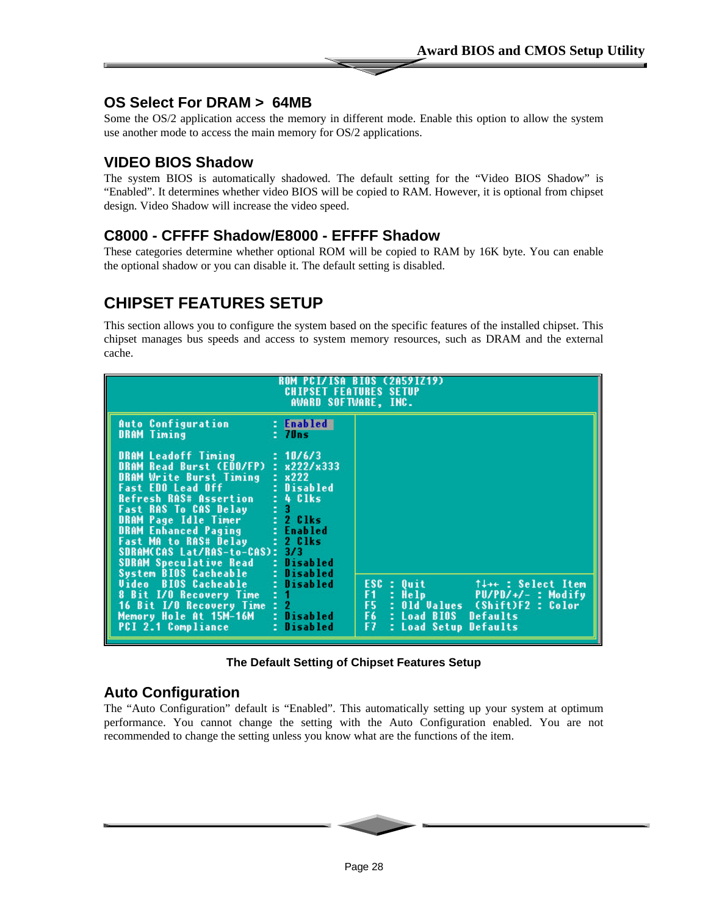#### **OS Select For DRAM > 64MB**

Some the OS/2 application access the memory in different mode. Enable this option to allow the system use another mode to access the main memory for OS/2 applications.

#### **VIDEO BIOS Shadow**

The system BIOS is automatically shadowed. The default setting for the "Video BIOS Shadow" is "Enabled". It determines whether video BIOS will be copied to RAM. However, it is optional from chipset design. Video Shadow will increase the video speed.

#### **C8000 - CFFFF Shadow/E8000 - EFFFF Shadow**

These categories determine whether optional ROM will be copied to RAM by 16K byte. You can enable the optional shadow or you can disable it. The default setting is disabled.

### **CHIPSET FEATURES SETUP**

This section allows you to configure the system based on the specific features of the installed chipset. This chipset manages bus speeds and access to system memory resources, such as DRAM and the external cache.

| ROM PCI/ISA BIOS (2A59IZ19)<br><b>CHIPSET FEATURES SETUP</b><br>AWARD SOFTWARE, INC.                                                                                                                                                                                                                                                                                                                                                                                                                                                                                                          |                                     |                                                                                                                         |
|-----------------------------------------------------------------------------------------------------------------------------------------------------------------------------------------------------------------------------------------------------------------------------------------------------------------------------------------------------------------------------------------------------------------------------------------------------------------------------------------------------------------------------------------------------------------------------------------------|-------------------------------------|-------------------------------------------------------------------------------------------------------------------------|
| <b>Auto Configuration</b><br><b>DRAM Timing</b>                                                                                                                                                                                                                                                                                                                                                                                                                                                                                                                                               | <b>Enabled</b><br>$\therefore$ 70ns |                                                                                                                         |
| DRAM Leadoff Timing : 10/6/3<br>DRAM Read Burst (EDO/FP) : x222/x333<br><b>DRAM Write Burst Timing : x222</b><br>Fast EDO Lead Off : Disabled<br>Refresh RAS# Assertion : 4 Clks<br>Fast RAS To CAS Delay<br>DRAM Page Idle Timer : 2 Clks<br>DRAM Enhanced Paging : Enabled<br>Fast MA to RAS# Delay : 2 Clks<br>SDRAM(CAS Lat/RAS-to-CAS): 3/3<br>SDRAM Speculative Read : Disabled<br>System BIOS Cacheable : Disabled<br>Video BIOS Cacheable : Disabled<br>8 Bit I/O Recovery Time<br>16 Bit I/O Recovery Time : 2<br>Memory Hole At 15M-16M : Disabled<br>PCI 2.1 Compliance : Disabled | 2.1                                 | ESC : Quit t++ : Select Item<br>: Help PU/PD/+/- : Modify<br>F6<br>: Load BIOS Defaults<br>F7.<br>: Load Setup Defaults |

**The Default Setting of Chipset Features Setup**

#### **Auto Configuration**

The "Auto Configuration" default is "Enabled". This automatically setting up your system at optimum performance. You cannot change the setting with the Auto Configuration enabled. You are not recommended to change the setting unless you know what are the functions of the item.

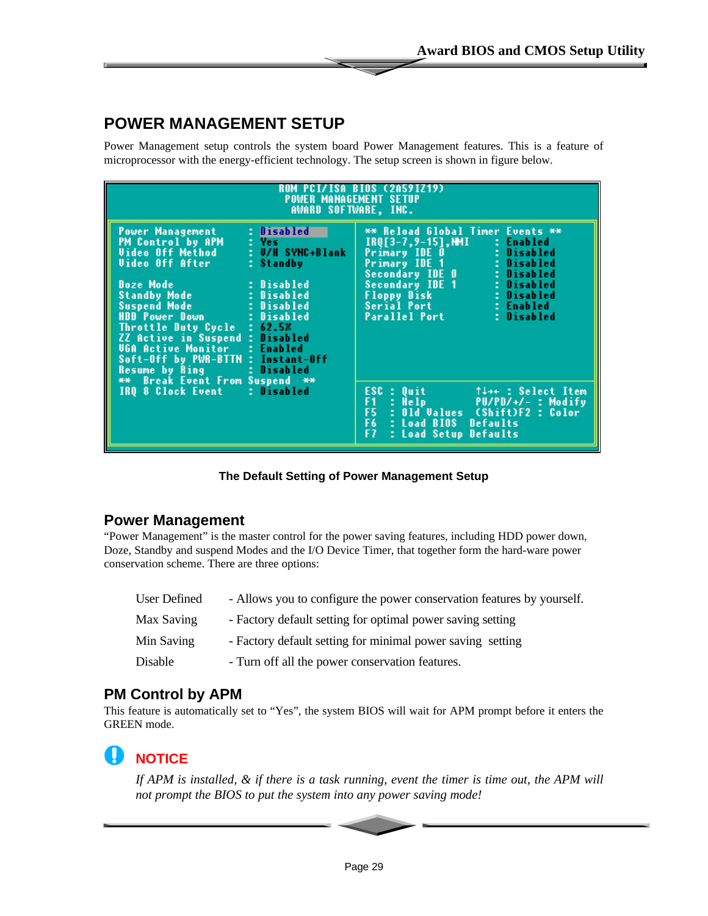# **POWER MANAGEMENT SETUP**

Power Management setup controls the system board Power Management features. This is a feature of microprocessor with the energy-efficient technology. The setup screen is shown in figure below.

| <b>ROM PCI/ISA BIOS (2A59IZ19)</b><br><b>POWER MANAGEMENT SETUP</b><br>AWARD SOFTWARE, INC.                                                                                                                                                                                                                                                                                                                                                                                                                |                                                                                                                                                                                                                                                                                                                                      |  |  |
|------------------------------------------------------------------------------------------------------------------------------------------------------------------------------------------------------------------------------------------------------------------------------------------------------------------------------------------------------------------------------------------------------------------------------------------------------------------------------------------------------------|--------------------------------------------------------------------------------------------------------------------------------------------------------------------------------------------------------------------------------------------------------------------------------------------------------------------------------------|--|--|
| : Disabled<br><b>Power Management</b><br>PM Control by APM     : Yes<br>Video Off Method     : U/H SYNC+Blank<br>Wideo Off Act<br><b>Uideo Off After</b><br>: Standby<br>Doze Mode : Disabled<br>Standby Mode : Disabled<br>Suspend Mode : Disabled<br>HDD Power Down : Disabled<br>Throttle Duty Cycle : 62.5%<br><b>ZZ</b> Active in Suspend : Disabled<br><b>VGA Active Monitor : Enabled</b><br>Soft-Off by PWR-BTTN : Instant-Off<br>Resume by Ring [15] : Disabled<br>** Break Event From Suspend ** | ** Reload Global Timer Events **<br>$IRQ[3-7, 9-15]$ , NMI : Enabled<br>Primary IDE 0<br>Primary IDE 0<br>Primary IDE 1<br>Secondary IDE 0<br>Secondary IDE 1<br>Secondary IDE 1<br>: Disabled<br>Floppy Disk<br>Serial Port<br>: Enabled<br>Parallel Port<br>: Disabled<br>Parallel Port<br>: Disabled<br>Parallel Port<br>: Disabl |  |  |
| IRQ 8 Clock Event : Disabled                                                                                                                                                                                                                                                                                                                                                                                                                                                                               | $ESC : Quit$ $\uparrow \downarrow \rightarrow \cdot$ : Select Item<br>: $\text{Help}$ $PU/PD/+/$ : Modify<br>F1.<br>F5 : Old Values (Shift)F2 : Color<br>F6 : Load BIOS Defaults<br>F7.<br>: Load Setup Defaults                                                                                                                     |  |  |

**The Default Setting of Power Management Setup**

#### **Power Management**

"Power Management" is the master control for the power saving features, including HDD power down, Doze, Standby and suspend Modes and the I/O Device Timer, that together form the hard-ware power conservation scheme. There are three options:

| - Allows you to configure the power conservation features by yourself. |
|------------------------------------------------------------------------|
| - Factory default setting for optimal power saving setting             |
| - Factory default setting for minimal power saving setting             |
| - Turn off all the power conservation features.                        |
|                                                                        |

#### **PM Control by APM**

This feature is automatically set to "Yes", the system BIOS will wait for APM prompt before it enters the GREEN mode.

#### IJ **NOTICE**

*If APM is installed, & if there is a task running, event the timer is time out, the APM will not prompt the BIOS to put the system into any power saving mode!*

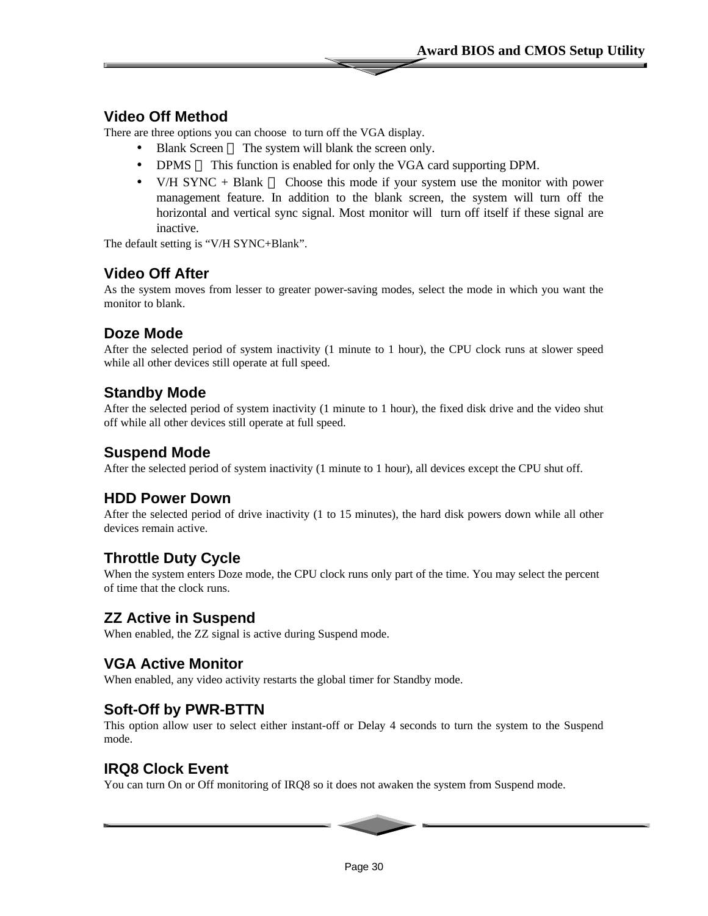#### **Video Off Method**

There are three options you can choose to turn off the VGA display.

- Blank Screen The system will blank the screen only.
- DPMS This function is enabled for only the VGA card supporting DPM.
- V/H SYNC + Blank Choose this mode if your system use the monitor with power management feature. In addition to the blank screen, the system will turn off the horizontal and vertical sync signal. Most monitor will turn off itself if these signal are inactive.

The default setting is "V/H SYNC+Blank".

#### **Video Off After**

As the system moves from lesser to greater power-saving modes, select the mode in which you want the monitor to blank.

#### **Doze Mode**

After the selected period of system inactivity (1 minute to 1 hour), the CPU clock runs at slower speed while all other devices still operate at full speed.

#### **Standby Mode**

After the selected period of system inactivity (1 minute to 1 hour), the fixed disk drive and the video shut off while all other devices still operate at full speed.

#### **Suspend Mode**

After the selected period of system inactivity (1 minute to 1 hour), all devices except the CPU shut off.

#### **HDD Power Down**

After the selected period of drive inactivity (1 to 15 minutes), the hard disk powers down while all other devices remain active.

#### **Throttle Duty Cycle**

When the system enters Doze mode, the CPU clock runs only part of the time. You may select the percent of time that the clock runs.

#### **ZZ Active in Suspend**

When enabled, the ZZ signal is active during Suspend mode.

#### **VGA Active Monitor**

When enabled, any video activity restarts the global timer for Standby mode.

#### **Soft-Off by PWR-BTTN**

This option allow user to select either instant-off or Delay 4 seconds to turn the system to the Suspend mode.

#### **IRQ8 Clock Event**

You can turn On or Off monitoring of IRQ8 so it does not awaken the system from Suspend mode.

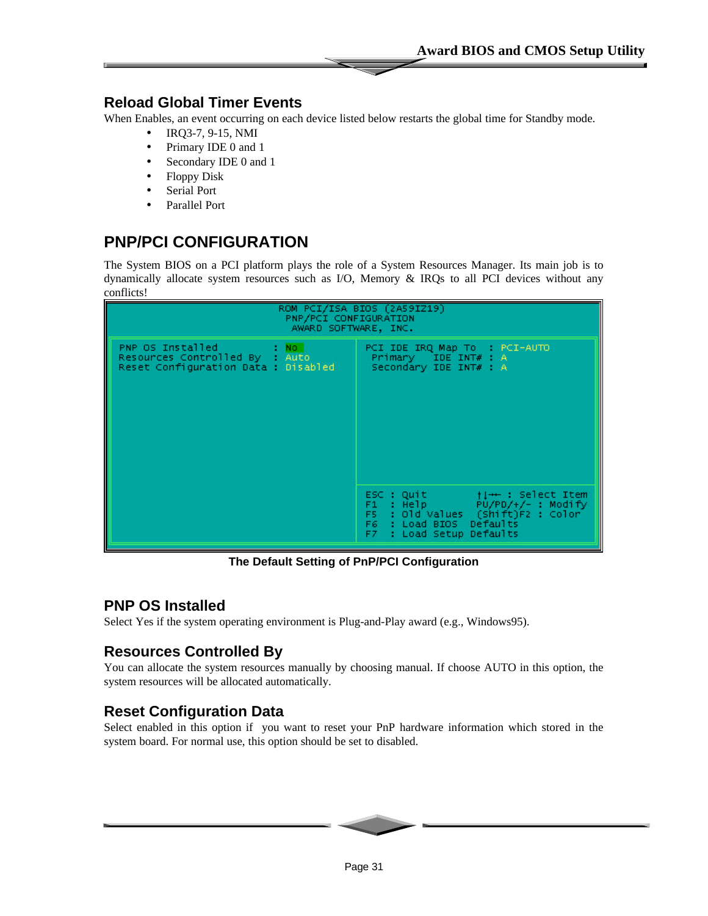#### **Reload Global Timer Events**

When Enables, an event occurring on each device listed below restarts the global time for Standby mode.

- IRQ3-7, 9-15, NMI
- Primary IDE 0 and 1
- Secondary IDE 0 and 1
- Floppy Disk
- Serial Port
- Parallel Port

# **PNP/PCI CONFIGURATION**

The System BIOS on a PCI platform plays the role of a System Resources Manager. Its main job is to dynamically allocate system resources such as I/O, Memory & IRQs to all PCI devices without any conflicts!

| PNP/PCI CONFIGURATION<br>AWARD SOFTWARE, INC.                                                | ROM PCI/ISA BIOS (2A59IZ19)                                                                                                                               |
|----------------------------------------------------------------------------------------------|-----------------------------------------------------------------------------------------------------------------------------------------------------------|
| PNP OS Installed : No<br>Resources Controlled By : Auto<br>Reset Configuration Data Disabled | PCI IDE IRQ Map To : PCI-AUTO<br>Primary IDE INT# : A<br>Secondary IDE INT# : A                                                                           |
|                                                                                              | ESC : Quit time : Select Item<br>F1 : Help PU/PD/+/- : Modify<br>F5 : Old Values (Shift)F2 : Color<br>F6 : Load BIOS Defaults<br>F7 : Load Setup Defaults |

**The Default Setting of PnP/PCI Configuration**

#### **PNP OS Installed**

Select Yes if the system operating environment is Plug-and-Play award (e.g., Windows95).

#### **Resources Controlled By**

You can allocate the system resources manually by choosing manual. If choose AUTO in this option, the system resources will be allocated automatically.

#### **Reset Configuration Data**

Select enabled in this option if you want to reset your PnP hardware information which stored in the system board. For normal use, this option should be set to disabled.

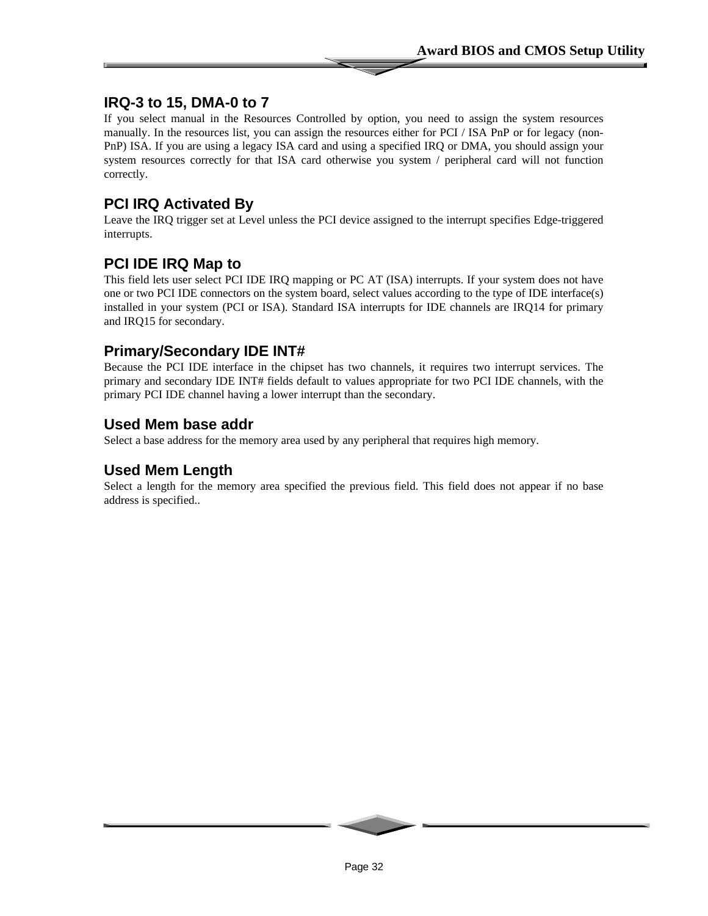#### **IRQ-3 to 15, DMA-0 to 7**

If you select manual in the Resources Controlled by option, you need to assign the system resources manually. In the resources list, you can assign the resources either for PCI / ISA PnP or for legacy (non-PnP) ISA. If you are using a legacy ISA card and using a specified IRQ or DMA, you should assign your system resources correctly for that ISA card otherwise you system / peripheral card will not function correctly.

# **PCI IRQ Activated By**

Leave the IRQ trigger set at Level unless the PCI device assigned to the interrupt specifies Edge-triggered interrupts.

### **PCI IDE IRQ Map to**

This field lets user select PCI IDE IRQ mapping or PC AT (ISA) interrupts. If your system does not have one or two PCI IDE connectors on the system board, select values according to the type of IDE interface(s) installed in your system (PCI or ISA). Standard ISA interrupts for IDE channels are IRQ14 for primary and IRQ15 for secondary.

### **Primary/Secondary IDE INT#**

Because the PCI IDE interface in the chipset has two channels, it requires two interrupt services. The primary and secondary IDE INT# fields default to values appropriate for two PCI IDE channels, with the primary PCI IDE channel having a lower interrupt than the secondary.

#### **Used Mem base addr**

Select a base address for the memory area used by any peripheral that requires high memory.

#### **Used Mem Length**

Select a length for the memory area specified the previous field. This field does not appear if no base address is specified..

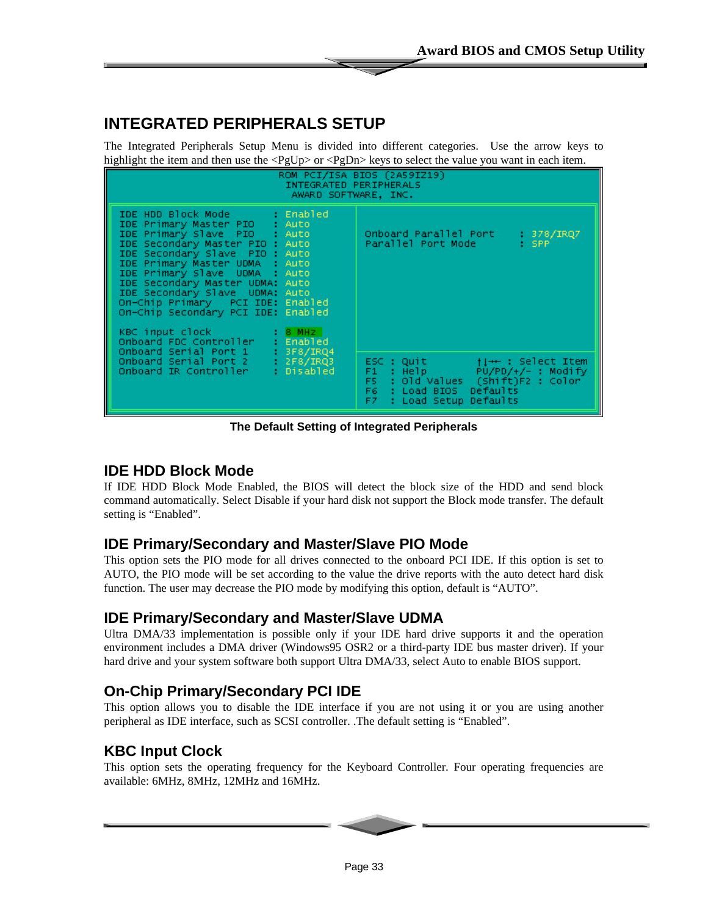### **INTEGRATED PERIPHERALS SETUP**

The Integrated Peripherals Setup Menu is divided into different categories. Use the arrow keys to highlight the item and then use the  $\langle PgUp \rangle$  or  $\langle PgDn \rangle$  keys to select the value you want in each item.

| ROM PCI/ISA BIOS (2A59IZ19)<br>INTEGRATED PERIPHERALS<br>AWARD SOFTWARE, INC.                                                                                                                                                                                                                                                                                                                  |  |                                                                                                                                                                |  |
|------------------------------------------------------------------------------------------------------------------------------------------------------------------------------------------------------------------------------------------------------------------------------------------------------------------------------------------------------------------------------------------------|--|----------------------------------------------------------------------------------------------------------------------------------------------------------------|--|
| TDE HDD Block Mode = = = = = Enabled<br>TDE Primary Master PIO = = Auto<br>IDE Primary Slave PIO : Auto<br>IDE Secondary Master PIO : Auto<br>IDE Secondary Slave PIO : Auto<br>IDE Primary Master UDMA : Auto<br>IDE Primary Slave UDMA : Auto<br>IDE Secondary Master UDMA: Auto<br>IDE Secondary Slave UDMA: Auto<br>On-Chip Primary PCI IDE: Enabled<br>On-Chip Secondary PCI IDE: Enabled |  | Onboard Parallel Port : 378/IRQ7<br>Parallel Port Mode<br><b>SPP</b>                                                                                           |  |
| Example of the Magnetic Magnetic Section of the Magnetic Section of the Magnetic Section of the Magnetic Section of the Magnetic Section of the Magnetic Section of the Magnetic Section of the Magnetic Section of the Magnet<br>Onboard Serial Port 1 : 3F8/IRQ4<br>Onboard Serial Port 2 : 2F8/IRQ3<br>Onboard IR Controller : Disabled                                                     |  | $\mathsf{esc} : \mathsf{Quit} \longrightarrow \mathsf{H} \rightarrow \mathsf{select} \mathsf{Item}$<br>F6 : Load BIOS Defaults<br>: Load Setup Defaults<br>FZ. |  |

**The Default Setting of Integrated Peripherals**

#### **IDE HDD Block Mode**

If IDE HDD Block Mode Enabled, the BIOS will detect the block size of the HDD and send block command automatically. Select Disable if your hard disk not support the Block mode transfer. The default setting is "Enabled".

#### **IDE Primary/Secondary and Master/Slave PIO Mode**

This option sets the PIO mode for all drives connected to the onboard PCI IDE. If this option is set to AUTO, the PIO mode will be set according to the value the drive reports with the auto detect hard disk function. The user may decrease the PIO mode by modifying this option, default is "AUTO".

#### **IDE Primary/Secondary and Master/Slave UDMA**

Ultra DMA/33 implementation is possible only if your IDE hard drive supports it and the operation environment includes a DMA driver (Windows95 OSR2 or a third-party IDE bus master driver). If your hard drive and your system software both support Ultra DMA/33, select Auto to enable BIOS support.

# **On-Chip Primary/Secondary PCI IDE**

This option allows you to disable the IDE interface if you are not using it or you are using another peripheral as IDE interface, such as SCSI controller. .The default setting is "Enabled".

#### **KBC Input Clock**

This option sets the operating frequency for the Keyboard Controller. Four operating frequencies are available: 6MHz, 8MHz, 12MHz and 16MHz.

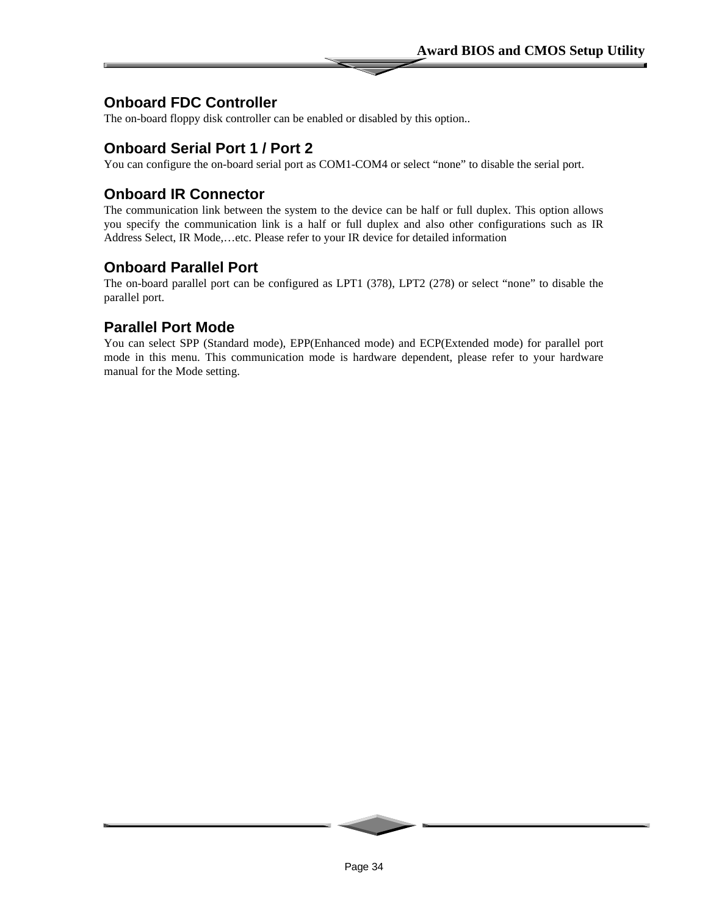#### **Onboard FDC Controller**

The on-board floppy disk controller can be enabled or disabled by this option..

#### **Onboard Serial Port 1 / Port 2**

You can configure the on-board serial port as COM1-COM4 or select "none" to disable the serial port.

#### **Onboard IR Connector**

The communication link between the system to the device can be half or full duplex. This option allows you specify the communication link is a half or full duplex and also other configurations such as IR Address Select, IR Mode,…etc. Please refer to your IR device for detailed information

#### **Onboard Parallel Port**

The on-board parallel port can be configured as LPT1 (378), LPT2 (278) or select "none" to disable the parallel port.

#### **Parallel Port Mode**

You can select SPP (Standard mode), EPP(Enhanced mode) and ECP(Extended mode) for parallel port mode in this menu. This communication mode is hardware dependent, please refer to your hardware manual for the Mode setting.

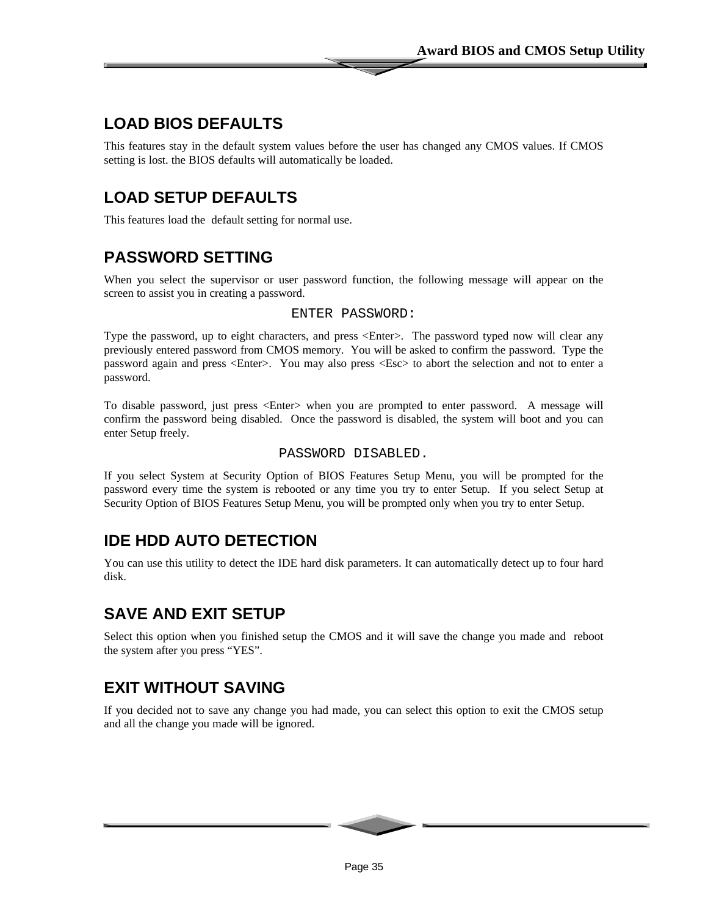# **LOAD BIOS DEFAULTS**

This features stay in the default system values before the user has changed any CMOS values. If CMOS setting is lost. the BIOS defaults will automatically be loaded.

# **LOAD SETUP DEFAULTS**

This features load the default setting for normal use.

# **PASSWORD SETTING**

When you select the supervisor or user password function, the following message will appear on the screen to assist you in creating a password.

#### ENTER PASSWORD:

Type the password, up to eight characters, and press <Enter>. The password typed now will clear any previously entered password from CMOS memory. You will be asked to confirm the password. Type the password again and press <Enter>. You may also press <Esc> to abort the selection and not to enter a password.

To disable password, just press <Enter> when you are prompted to enter password. A message will confirm the password being disabled. Once the password is disabled, the system will boot and you can enter Setup freely.

#### PASSWORD DISABLED.

If you select System at Security Option of BIOS Features Setup Menu, you will be prompted for the password every time the system is rebooted or any time you try to enter Setup. If you select Setup at Security Option of BIOS Features Setup Menu, you will be prompted only when you try to enter Setup.

# **IDE HDD AUTO DETECTION**

You can use this utility to detect the IDE hard disk parameters. It can automatically detect up to four hard disk.

#### **SAVE AND EXIT SETUP**

Select this option when you finished setup the CMOS and it will save the change you made and reboot the system after you press "YES".

# **EXIT WITHOUT SAVING**

If you decided not to save any change you had made, you can select this option to exit the CMOS setup and all the change you made will be ignored.

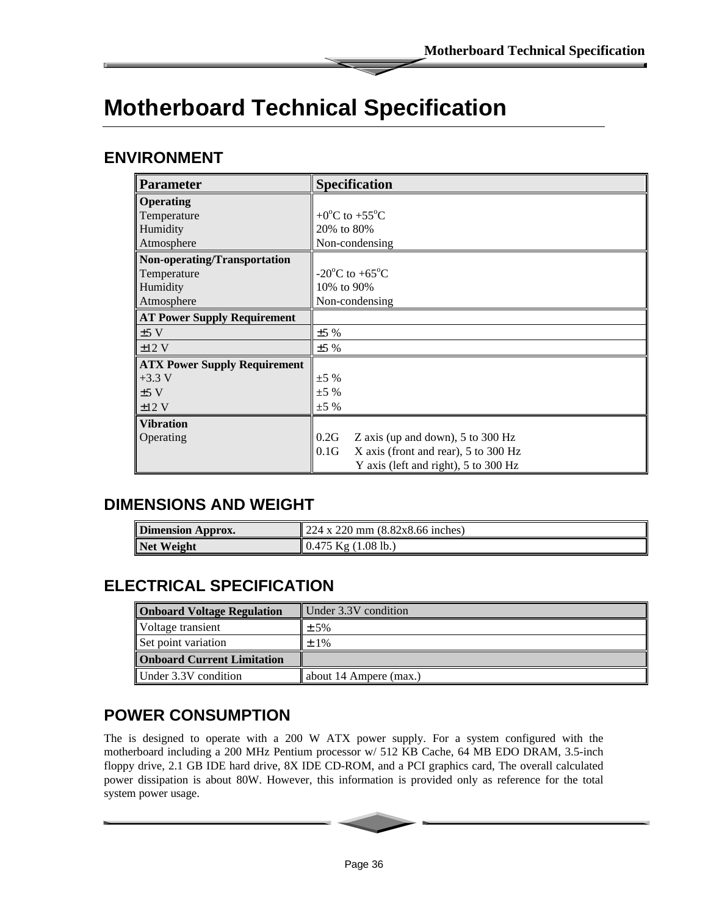# **Motherboard Technical Specification**

# **ENVIRONMENT**

| Parameter                           | <b>Specification</b>                         |
|-------------------------------------|----------------------------------------------|
| <b>Operating</b>                    |                                              |
| Temperature                         | +0 <sup>o</sup> C to +55 <sup>o</sup> C      |
| Humidity                            | 20% to 80%                                   |
| Atmosphere                          | Non-condensing                               |
| Non-operating/Transportation        |                                              |
| Temperature                         | $-20^{\circ}$ C to $+65^{\circ}$ C           |
| Humidity                            | 10% to 90%                                   |
| Atmosphere                          | Non-condensing                               |
| <b>AT Power Supply Requirement</b>  |                                              |
| $±5$ V                              | $\pm 5\%$                                    |
| ±12 V                               | $\pm$ 5 %                                    |
| <b>ATX Power Supply Requirement</b> |                                              |
| $+3.3 V$                            | $\pm 5\%$                                    |
| ±5V                                 | $\pm 5\%$                                    |
| ±12V                                | $\pm 5\%$                                    |
| <b>Vibration</b>                    |                                              |
| Operating                           | 0.2G<br>Z axis (up and down), 5 to 300 Hz    |
|                                     | X axis (front and rear), 5 to 300 Hz<br>0.1G |
|                                     | Y axis (left and right), 5 to 300 Hz         |

# **DIMENSIONS AND WEIGHT**

| <b>Dimension Approx.</b> | $\parallel$ 224 x 220 mm (8.82x8.66 inches) |
|--------------------------|---------------------------------------------|
| Net Weight               | $\parallel$ 0.475 Kg (1.08 lb.)             |

# **ELECTRICAL SPECIFICATION**

| <b>Onboard Voltage Regulation</b> | Under 3.3V condition   |
|-----------------------------------|------------------------|
| Voltage transient                 | ± 5%                   |
| Set point variation               | $+1\%$                 |
| <b>Onboard Current Limitation</b> |                        |
| Under $3.3V$ condition            | about 14 Ampere (max.) |

# **POWER CONSUMPTION**

The is designed to operate with a 200 W ATX power supply. For a system configured with the motherboard including a 200 MHz Pentium processor w/ 512 KB Cache, 64 MB EDO DRAM, 3.5-inch floppy drive, 2.1 GB IDE hard drive, 8X IDE CD-ROM, and a PCI graphics card, The overall calculated power dissipation is about 80W. However, this information is provided only as reference for the total system power usage.